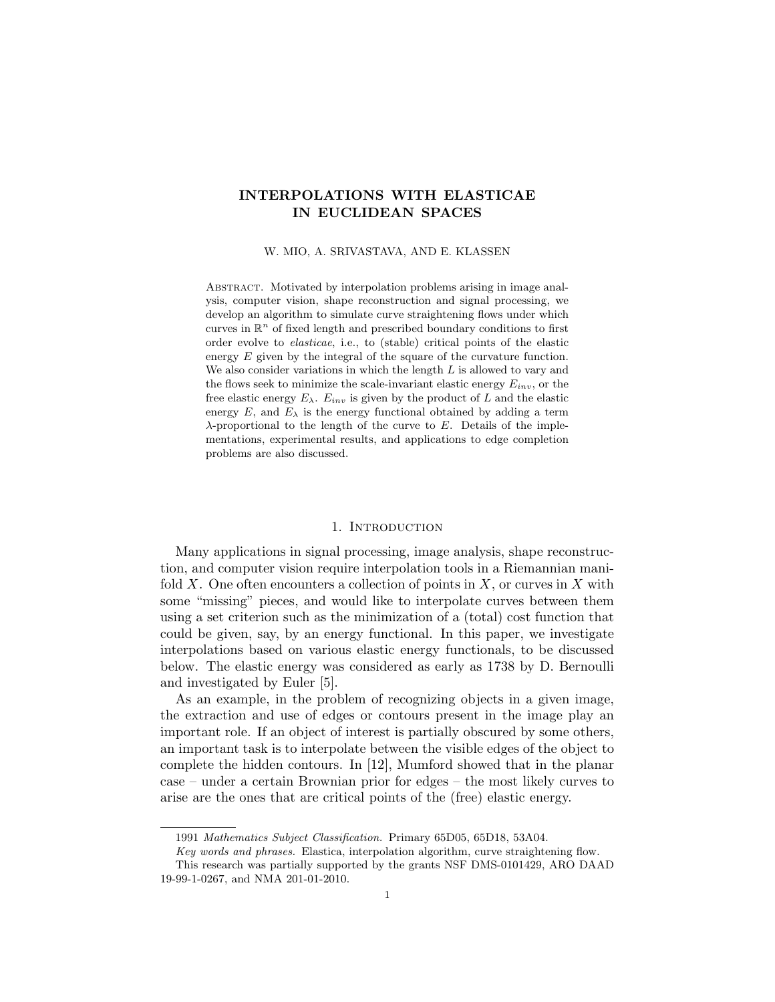# INTERPOLATIONS WITH ELASTICAE IN EUCLIDEAN SPACES

W. MIO, A. SRIVASTAVA, AND E. KLASSEN

ABSTRACT. Motivated by interpolation problems arising in image analysis, computer vision, shape reconstruction and signal processing, we develop an algorithm to simulate curve straightening flows under which curves in  $\mathbb{R}^n$  of fixed length and prescribed boundary conditions to first order evolve to elasticae, i.e., to (stable) critical points of the elastic energy E given by the integral of the square of the curvature function. We also consider variations in which the length  $L$  is allowed to vary and the flows seek to minimize the scale-invariant elastic energy  $E_{inv}$ , or the free elastic energy  $E_{\lambda}$ .  $E_{inv}$  is given by the product of L and the elastic energy  $E$ , and  $E_{\lambda}$  is the energy functional obtained by adding a term  $\lambda$ -proportional to the length of the curve to E. Details of the implementations, experimental results, and applications to edge completion problems are also discussed.

#### 1. INTRODUCTION

Many applications in signal processing, image analysis, shape reconstruction, and computer vision require interpolation tools in a Riemannian manifold X. One often encounters a collection of points in  $X$ , or curves in  $X$  with some "missing" pieces, and would like to interpolate curves between them using a set criterion such as the minimization of a (total) cost function that could be given, say, by an energy functional. In this paper, we investigate interpolations based on various elastic energy functionals, to be discussed below. The elastic energy was considered as early as 1738 by D. Bernoulli and investigated by Euler [5].

As an example, in the problem of recognizing objects in a given image, the extraction and use of edges or contours present in the image play an important role. If an object of interest is partially obscured by some others, an important task is to interpolate between the visible edges of the object to complete the hidden contours. In [12], Mumford showed that in the planar case – under a certain Brownian prior for edges – the most likely curves to arise are the ones that are critical points of the (free) elastic energy.

<sup>1991</sup> Mathematics Subject Classification. Primary 65D05, 65D18, 53A04.

Key words and phrases. Elastica, interpolation algorithm, curve straightening flow. This research was partially supported by the grants NSF DMS-0101429, ARO DAAD 19-99-1-0267, and NMA 201-01-2010.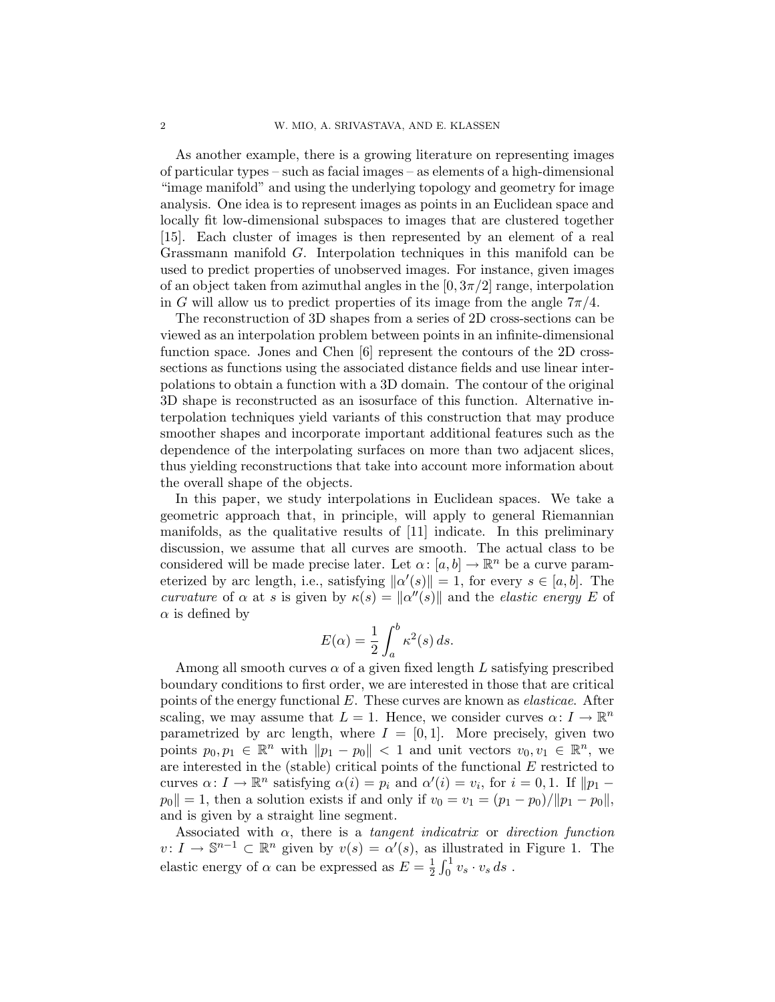As another example, there is a growing literature on representing images of particular types – such as facial images – as elements of a high-dimensional "image manifold" and using the underlying topology and geometry for image analysis. One idea is to represent images as points in an Euclidean space and locally fit low-dimensional subspaces to images that are clustered together [15]. Each cluster of images is then represented by an element of a real Grassmann manifold G. Interpolation techniques in this manifold can be used to predict properties of unobserved images. For instance, given images of an object taken from azimuthal angles in the  $[0, 3\pi/2]$  range, interpolation in G will allow us to predict properties of its image from the angle  $7\pi/4$ .

The reconstruction of 3D shapes from a series of 2D cross-sections can be viewed as an interpolation problem between points in an infinite-dimensional function space. Jones and Chen [6] represent the contours of the 2D crosssections as functions using the associated distance fields and use linear interpolations to obtain a function with a 3D domain. The contour of the original 3D shape is reconstructed as an isosurface of this function. Alternative interpolation techniques yield variants of this construction that may produce smoother shapes and incorporate important additional features such as the dependence of the interpolating surfaces on more than two adjacent slices, thus yielding reconstructions that take into account more information about the overall shape of the objects.

In this paper, we study interpolations in Euclidean spaces. We take a geometric approach that, in principle, will apply to general Riemannian manifolds, as the qualitative results of [11] indicate. In this preliminary discussion, we assume that all curves are smooth. The actual class to be considered will be made precise later. Let  $\alpha$ :  $[a, b] \to \mathbb{R}^n$  be a curve parameterized by arc length, i.e., satisfying  $\|\alpha'(s)\| = 1$ , for every  $s \in [a, b]$ . The curvature of  $\alpha$  at s is given by  $\kappa(s) = ||\alpha''(s)||$  and the elastic energy E of  $\alpha$  is defined by

$$
E(\alpha) = \frac{1}{2} \int_{a}^{b} \kappa^2(s) \, ds.
$$

Among all smooth curves  $\alpha$  of a given fixed length L satisfying prescribed boundary conditions to first order, we are interested in those that are critical points of the energy functional  $E$ . These curves are known as *elasticae*. After scaling, we may assume that  $L = 1$ . Hence, we consider curves  $\alpha: I \to \mathbb{R}^n$ parametrized by arc length, where  $I = [0, 1]$ . More precisely, given two points  $p_0, p_1 \in \mathbb{R}^n$  with  $||p_1 - p_0|| < 1$  and unit vectors  $v_0, v_1 \in \mathbb{R}^n$ , we are interested in the (stable) critical points of the functional  $E$  restricted to curves  $\alpha: I \to \mathbb{R}^n$  satisfying  $\alpha(i) = p_i$  and  $\alpha'(i) = v_i$ , for  $i = 0, 1$ . If  $||p_1 - p_2||$  $p_0$ || = 1, then a solution exists if and only if  $v_0 = v_1 = (p_1 - p_0)/||p_1 - p_0||$ , and is given by a straight line segment.

Associated with  $\alpha$ , there is a *tangent indicatrix* or *direction function*  $v: I \to \mathbb{S}^{n-1} \subset \mathbb{R}^n$  given by  $v(s) = \alpha'(s)$ , as illustrated in Figure 1. The elastic energy of  $\alpha$  can be expressed as  $E = \frac{1}{2}$  $\frac{1}{2} \int_0^1 v_s \cdot v_s ds$ .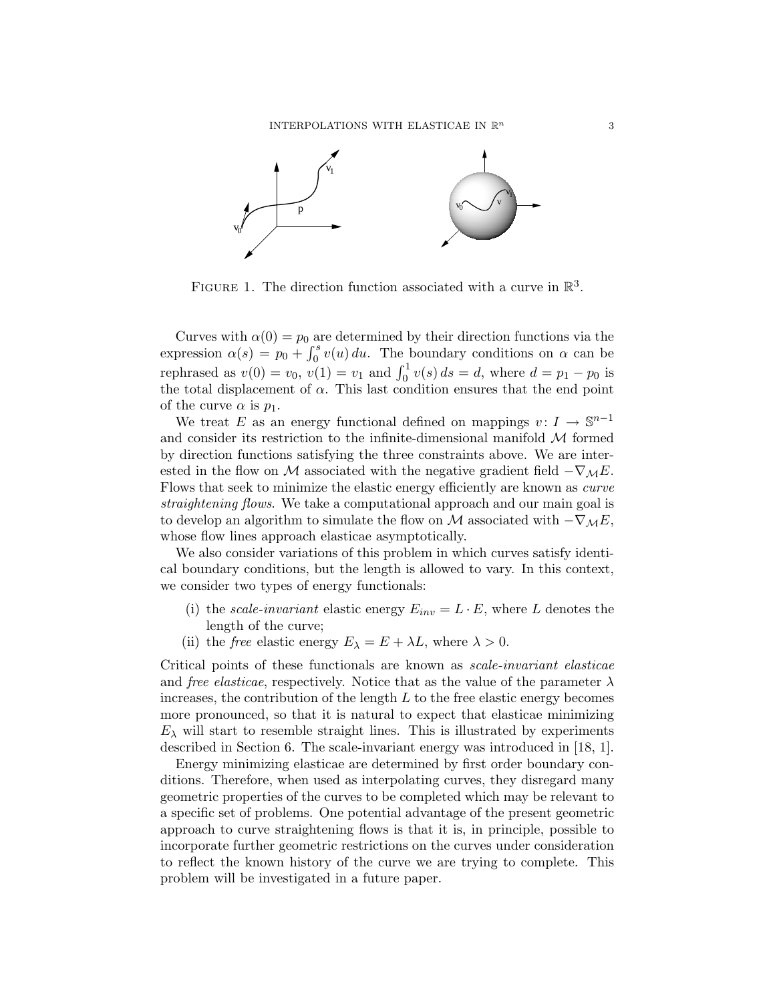

FIGURE 1. The direction function associated with a curve in  $\mathbb{R}^3$ .

Curves with  $\alpha(0) = p_0$  are determined by their direction functions via the expression  $\alpha(s) = p_0 + \int_0^s v(u) du$ . The boundary conditions on  $\alpha$  can be rephrased as  $v(0) = v_0$ ,  $v(1) = v_1$  and  $\int_0^1 v(s) ds = d$ , where  $d = p_1 - p_0$  is the total displacement of  $\alpha$ . This last condition ensures that the end point of the curve  $\alpha$  is  $p_1$ .

We treat E as an energy functional defined on mappings  $v: I \to \mathbb{S}^{n-1}$ and consider its restriction to the infinite-dimensional manifold  $M$  formed by direction functions satisfying the three constraints above. We are interested in the flow on M associated with the negative gradient field  $-\nabla_M E$ . Flows that seek to minimize the elastic energy efficiently are known as curve straightening flows. We take a computational approach and our main goal is to develop an algorithm to simulate the flow on M associated with  $-\nabla_{\mathcal{M}}E$ , whose flow lines approach elasticae asymptotically.

We also consider variations of this problem in which curves satisfy identical boundary conditions, but the length is allowed to vary. In this context, we consider two types of energy functionals:

- (i) the *scale-invariant* elastic energy  $E_{inv} = L \cdot E$ , where L denotes the length of the curve;
- (ii) the *free* elastic energy  $E_{\lambda} = E + \lambda L$ , where  $\lambda > 0$ .

Critical points of these functionals are known as scale-invariant elasticae and *free elasticae*, respectively. Notice that as the value of the parameter  $\lambda$ increases, the contribution of the length  $L$  to the free elastic energy becomes more pronounced, so that it is natural to expect that elasticae minimizing  $E_{\lambda}$  will start to resemble straight lines. This is illustrated by experiments described in Section 6. The scale-invariant energy was introduced in [18, 1].

Energy minimizing elasticae are determined by first order boundary conditions. Therefore, when used as interpolating curves, they disregard many geometric properties of the curves to be completed which may be relevant to a specific set of problems. One potential advantage of the present geometric approach to curve straightening flows is that it is, in principle, possible to incorporate further geometric restrictions on the curves under consideration to reflect the known history of the curve we are trying to complete. This problem will be investigated in a future paper.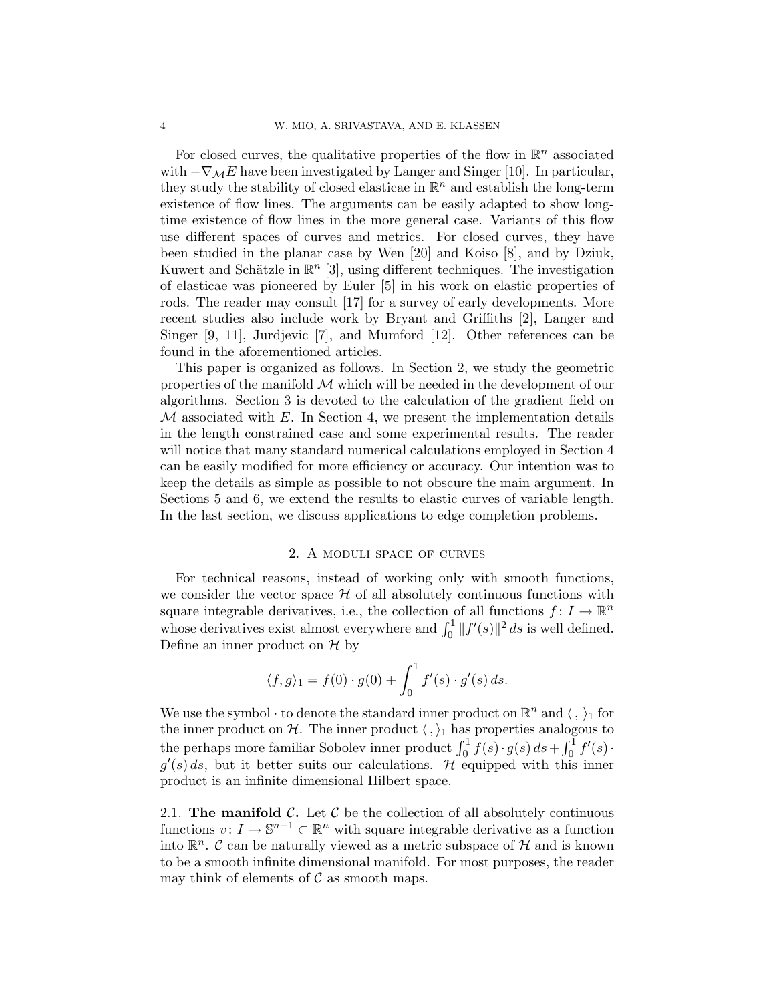For closed curves, the qualitative properties of the flow in  $\mathbb{R}^n$  associated with  $-\nabla_{\mathcal{M}}E$  have been investigated by Langer and Singer [10]. In particular, they study the stability of closed elasticae in  $\mathbb{R}^n$  and establish the long-term existence of flow lines. The arguments can be easily adapted to show longtime existence of flow lines in the more general case. Variants of this flow use different spaces of curves and metrics. For closed curves, they have been studied in the planar case by Wen [20] and Koiso [8], and by Dziuk, Kuwert and Schätzle in  $\mathbb{R}^n$  [3], using different techniques. The investigation of elasticae was pioneered by Euler [5] in his work on elastic properties of rods. The reader may consult [17] for a survey of early developments. More recent studies also include work by Bryant and Griffiths [2], Langer and Singer [9, 11], Jurdjevic [7], and Mumford [12]. Other references can be found in the aforementioned articles.

This paper is organized as follows. In Section 2, we study the geometric properties of the manifold  $\mathcal M$  which will be needed in the development of our algorithms. Section 3 is devoted to the calculation of the gradient field on  $M$  associated with  $E$ . In Section 4, we present the implementation details in the length constrained case and some experimental results. The reader will notice that many standard numerical calculations employed in Section 4 can be easily modified for more efficiency or accuracy. Our intention was to keep the details as simple as possible to not obscure the main argument. In Sections 5 and 6, we extend the results to elastic curves of variable length. In the last section, we discuss applications to edge completion problems.

#### 2. A moduli space of curves

For technical reasons, instead of working only with smooth functions, we consider the vector space  $H$  of all absolutely continuous functions with square integrable derivatives, i.e., the collection of all functions  $f: I \to \mathbb{R}^n$ whose derivatives exist almost everywhere and  $\int_0^1 ||f'(s)||^2 ds$  is well defined. Define an inner product on  $H$  by

$$
\langle f, g \rangle_1 = f(0) \cdot g(0) + \int_0^1 f'(s) \cdot g'(s) ds.
$$

We use the symbol  $\cdot$  to denote the standard inner product on  $\mathbb{R}^n$  and  $\langle , \rangle_1$  for the inner product on H. The inner product  $\langle , \rangle_1$  has properties analogous to the perhaps more familiar Sobolev inner product  $\int_0^1 f(s) \cdot g(s) \, ds + \int_0^1 f'(s) \cdot$  $g'(s)$  ds, but it better suits our calculations. Hequipped with this inner product is an infinite dimensional Hilbert space.

2.1. The manifold  $\mathcal{C}$ . Let  $\mathcal{C}$  be the collection of all absolutely continuous functions  $v: I \to \mathbb{S}^{n-1} \subset \mathbb{R}^n$  with square integrable derivative as a function into  $\mathbb{R}^n$ . C can be naturally viewed as a metric subspace of H and is known to be a smooth infinite dimensional manifold. For most purposes, the reader may think of elements of  $\mathcal C$  as smooth maps.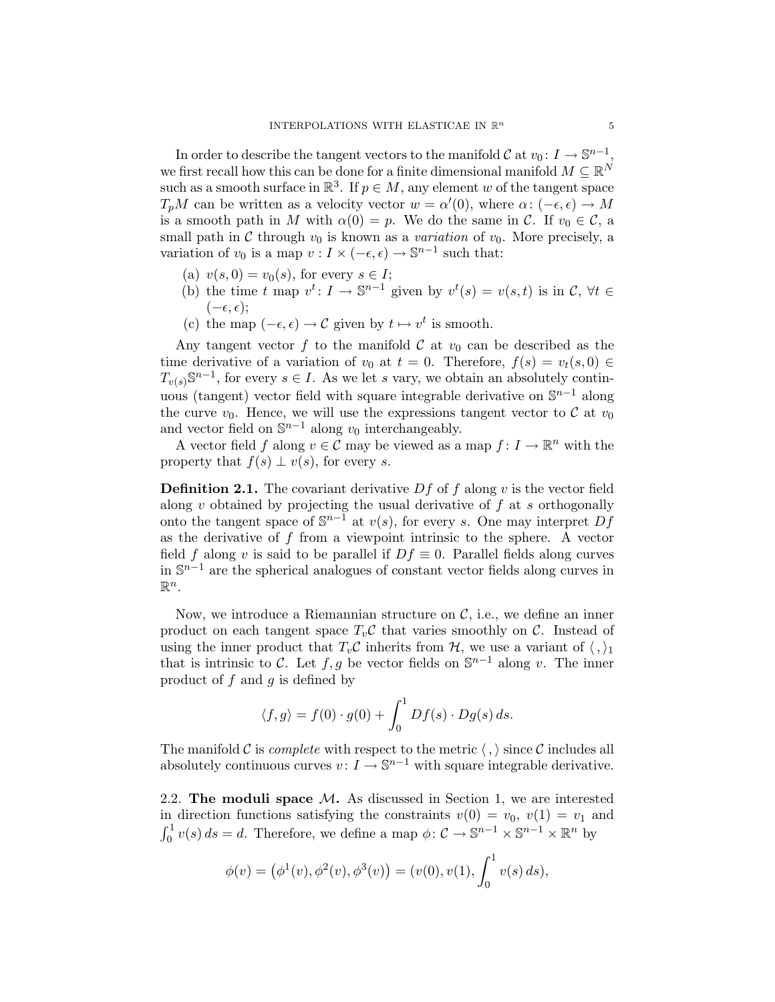In order to describe the tangent vectors to the manifold  $\mathcal{C}$  at  $v_0: I \to \mathbb{S}^{n-1}$ , we first recall how this can be done for a finite dimensional manifold  $M \subseteq \mathbb{R}^N$ such as a smooth surface in  $\mathbb{R}^3$ . If  $p \in M$ , any element w of the tangent space  $T_pM$  can be written as a velocity vector  $w = \alpha'(0)$ , where  $\alpha: (-\epsilon, \epsilon) \to M$ is a smooth path in M with  $\alpha(0) = p$ . We do the same in C. If  $v_0 \in \mathcal{C}$ , a small path in  $\mathcal C$  through  $v_0$  is known as a variation of  $v_0$ . More precisely, a variation of  $v_0$  is a map  $v: I \times (-\epsilon, \epsilon) \to \mathbb{S}^{n-1}$  such that:

- (a)  $v(s, 0) = v_0(s)$ , for every  $s \in I$ ;
- (b) the time t map  $v^t: I \to \mathbb{S}^{n-1}$  given by  $v^t(s) = v(s, t)$  is in  $\mathcal{C}, \forall t \in$  $(-\epsilon, \epsilon)$ ;
- (c) the map  $(-\epsilon, \epsilon) \to \mathcal{C}$  given by  $t \mapsto v^t$  is smooth.

Any tangent vector f to the manifold C at  $v_0$  can be described as the time derivative of a variation of  $v_0$  at  $t = 0$ . Therefore,  $f(s) = v_t(s, 0) \in$  $T_{v(s)}\mathbb{S}^{n-1}$ , for every  $s \in I$ . As we let s vary, we obtain an absolutely continuous (tangent) vector field with square integrable derivative on  $\mathbb{S}^{n-1}$  along the curve  $v_0$ . Hence, we will use the expressions tangent vector to C at  $v_0$ and vector field on  $\mathbb{S}^{n-1}$  along  $v_0$  interchangeably.

A vector field f along  $v \in \mathcal{C}$  may be viewed as a map  $f: I \to \mathbb{R}^n$  with the property that  $f(s) \perp v(s)$ , for every s.

**Definition 2.1.** The covariant derivative D f of f along v is the vector field along  $v$  obtained by projecting the usual derivative of  $f$  at  $s$  orthogonally onto the tangent space of  $\mathbb{S}^{n-1}$  at  $v(s)$ , for every s. One may interpret Df as the derivative of  $f$  from a viewpoint intrinsic to the sphere. A vector field f along v is said to be parallel if  $Df \equiv 0$ . Parallel fields along curves in S <sup>n</sup>−<sup>1</sup> are the spherical analogues of constant vector fields along curves in  $\mathbb{R}^n$ .

Now, we introduce a Riemannian structure on  $\mathcal{C}$ , i.e., we define an inner product on each tangent space  $T_v\mathcal{C}$  that varies smoothly on  $\mathcal{C}$ . Instead of using the inner product that  $T_v \mathcal{C}$  inherits from  $\mathcal{H}$ , we use a variant of  $\langle , \rangle_1$ that is intrinsic to C. Let  $f, g$  be vector fields on  $\mathbb{S}^{n-1}$  along v. The inner product of  $f$  and  $g$  is defined by

$$
\langle f, g \rangle = f(0) \cdot g(0) + \int_0^1 Df(s) \cdot Dg(s) \, ds.
$$

The manifold C is *complete* with respect to the metric  $\langle , \rangle$  since C includes all absolutely continuous curves  $v: I \to \mathbb{S}^{n-1}$  with square integrable derivative.

2.2. The moduli space  $M$ . As discussed in Section 1, we are interested in direction functions satisfying the constraints  $v(0) = v_0, v(1) = v_1$  and  $\int_0^1 v(s) ds = d$ . Therefore, we define a map  $\phi: C \to \mathbb{S}^{n-1} \times \mathbb{S}^{n-1} \times \mathbb{R}^n$  by

$$
\phi(v) = (\phi^1(v), \phi^2(v), \phi^3(v)) = (v(0), v(1), \int_0^1 v(s) \, ds),
$$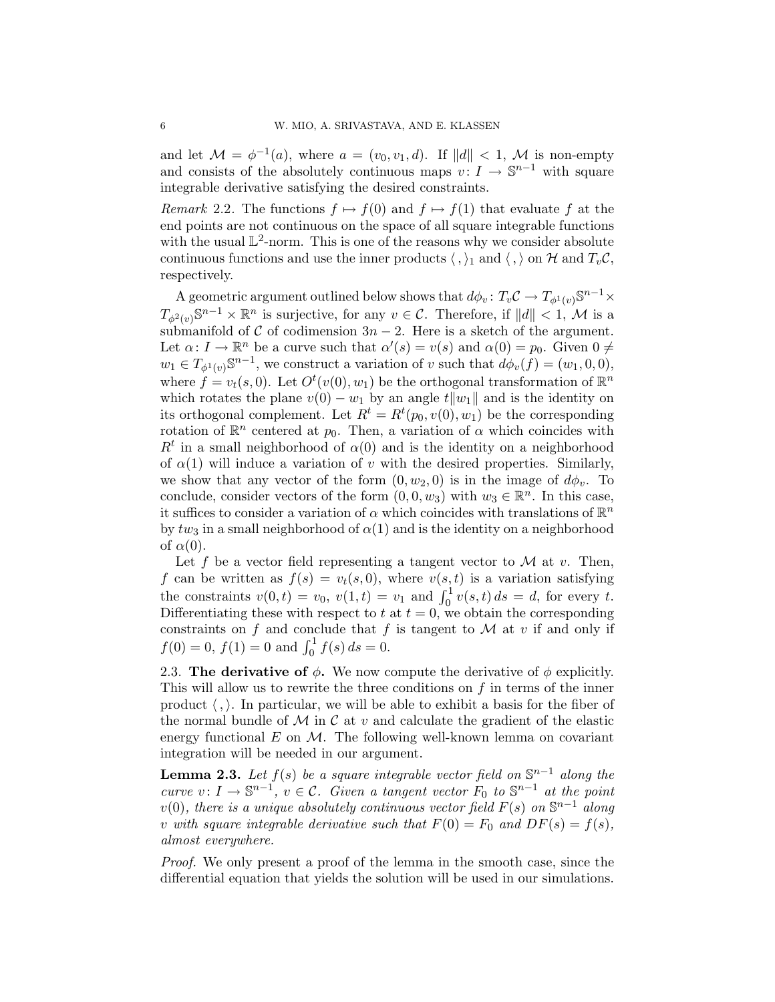and let  $\mathcal{M} = \phi^{-1}(a)$ , where  $a = (v_0, v_1, d)$ . If  $||d|| < 1$ ,  $\mathcal{M}$  is non-empty and consists of the absolutely continuous maps  $v: I \to \mathbb{S}^{n-1}$  with square integrable derivative satisfying the desired constraints.

*Remark* 2.2. The functions  $f \mapsto f(0)$  and  $f \mapsto f(1)$  that evaluate f at the end points are not continuous on the space of all square integrable functions with the usual  $\mathbb{L}^2$ -norm. This is one of the reasons why we consider absolute continuous functions and use the inner products  $\langle , \rangle_1$  and  $\langle , \rangle$  on H and  $T_v \mathcal{C}$ , respectively.

A geometric argument outlined below shows that  $d\phi_v \colon T_v \mathcal{C} \to T_{\phi^1(v)} \mathbb{S}^{n-1} \times$  $T_{\phi^2(v)}\mathbb{S}^{n-1}\times\mathbb{R}^n$  is surjective, for any  $v\in\mathcal{C}$ . Therefore, if  $||d||<1$ , M is a submanifold of C of codimension  $3n - 2$ . Here is a sketch of the argument. Let  $\alpha: I \to \mathbb{R}^n$  be a curve such that  $\alpha'(s) = v(s)$  and  $\alpha(0) = p_0$ . Given  $0 \neq$  $w_1 \in T_{\phi^1(v)} \mathbb{S}^{n-1}$ , we construct a variation of v such that  $d\phi_v(f) = (w_1, 0, 0),$ where  $f = v_t(s,0)$ . Let  $O^t(v(0), w_1)$  be the orthogonal transformation of  $\mathbb{R}^n$ which rotates the plane  $v(0) - w_1$  by an angle  $t||w_1||$  and is the identity on its orthogonal complement. Let  $R^t = R^t(p_0, v(0), w_1)$  be the corresponding rotation of  $\mathbb{R}^n$  centered at  $p_0$ . Then, a variation of  $\alpha$  which coincides with  $R<sup>t</sup>$  in a small neighborhood of  $\alpha(0)$  and is the identity on a neighborhood of  $\alpha(1)$  will induce a variation of v with the desired properties. Similarly, we show that any vector of the form  $(0, w_2, 0)$  is in the image of  $d\phi_v$ . To conclude, consider vectors of the form  $(0, 0, w_3)$  with  $w_3 \in \mathbb{R}^n$ . In this case, it suffices to consider a variation of  $\alpha$  which coincides with translations of  $\mathbb{R}^n$ by  $tw_3$  in a small neighborhood of  $\alpha(1)$  and is the identity on a neighborhood of  $\alpha(0)$ .

Let f be a vector field representing a tangent vector to  $\mathcal M$  at v. Then, f can be written as  $f(s) = v_t(s, 0)$ , where  $v(s, t)$  is a variation satisfying the constraints  $v(0, t) = v_0$ ,  $v(1, t) = v_1$  and  $\int_0^1 v(s, t) ds = d$ , for every t. Differentiating these with respect to t at  $t = 0$ , we obtain the corresponding constraints on f and conclude that f is tangent to  $\mathcal M$  at v if and only if  $f(0) = 0, f(1) = 0$  and  $\int_0^1 f(s) ds = 0.$ 

2.3. The derivative of  $\phi$ . We now compute the derivative of  $\phi$  explicitly. This will allow us to rewrite the three conditions on  $f$  in terms of the inner product  $\langle , \rangle$ . In particular, we will be able to exhibit a basis for the fiber of the normal bundle of M in C at v and calculate the gradient of the elastic energy functional  $E$  on  $\mathcal{M}$ . The following well-known lemma on covariant integration will be needed in our argument.

**Lemma 2.3.** Let  $f(s)$  be a square integrable vector field on  $\mathbb{S}^{n-1}$  along the curve  $v: I \to \mathbb{S}^{n-1}$ ,  $v \in \mathcal{C}$ . Given a tangent vector  $F_0$  to  $\mathbb{S}^{n-1}$  at the point  $v(0)$ , there is a unique absolutely continuous vector field  $F(s)$  on  $\mathbb{S}^{n-1}$  along v with square integrable derivative such that  $F(0) = F_0$  and  $DF(s) = f(s)$ , almost everywhere.

Proof. We only present a proof of the lemma in the smooth case, since the differential equation that yields the solution will be used in our simulations.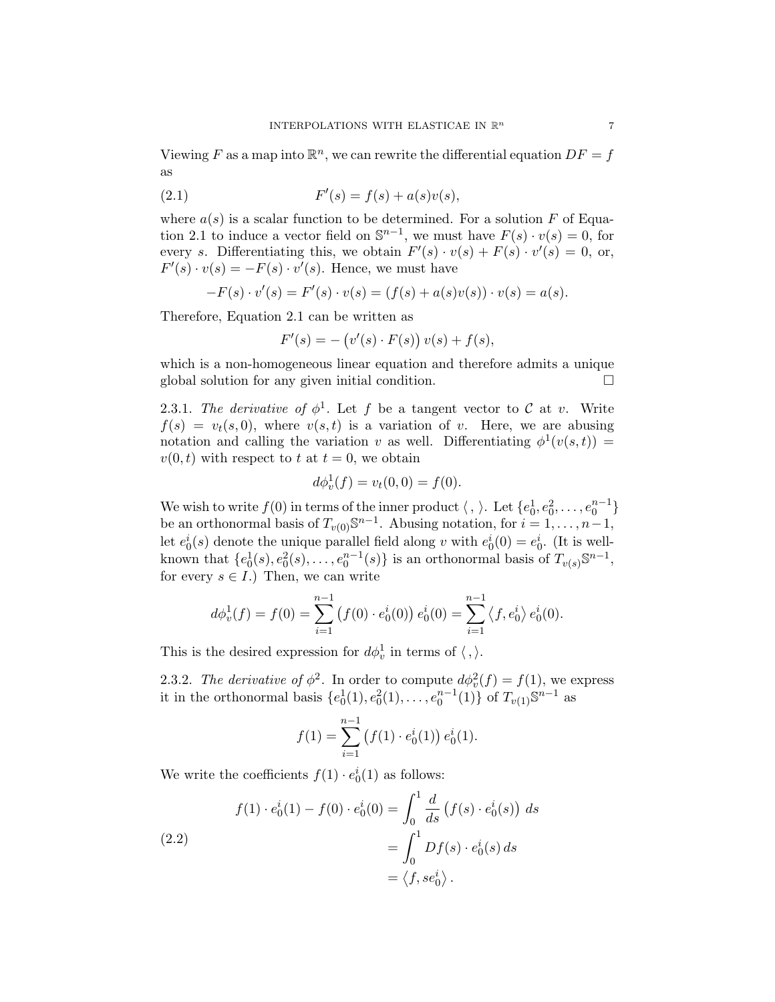Viewing F as a map into  $\mathbb{R}^n$ , we can rewrite the differential equation  $DF = f$ as

(2.1) 
$$
F'(s) = f(s) + a(s)v(s),
$$

where  $a(s)$  is a scalar function to be determined. For a solution F of Equation 2.1 to induce a vector field on  $\mathbb{S}^{n-1}$ , we must have  $F(s) \cdot v(s) = 0$ , for every s. Differentiating this, we obtain  $F'(s) \cdot v(s) + F(s) \cdot v'(s) = 0$ , or,  $F'(s) \cdot v(s) = -F(s) \cdot v'(s)$ . Hence, we must have

$$
-F(s) \cdot v'(s) = F'(s) \cdot v(s) = (f(s) + a(s)v(s)) \cdot v(s) = a(s).
$$

Therefore, Equation 2.1 can be written as

$$
F'(s) = - (v'(s) \cdot F(s)) v(s) + f(s),
$$

which is a non-homogeneous linear equation and therefore admits a unique global solution for any given initial condition.

2.3.1. The derivative of  $\phi^1$ . Let f be a tangent vector to C at v. Write  $f(s) = v_t(s, 0)$ , where  $v(s, t)$  is a variation of v. Here, we are abusing notation and calling the variation v as well. Differentiating  $\phi^1(v(s,t))$  =  $v(0, t)$  with respect to t at  $t = 0$ , we obtain

$$
d\phi_v^1(f) = v_t(0,0) = f(0).
$$

We wish to write  $f(0)$  in terms of the inner product  $\langle , \rangle$ . Let  $\{e_0^1, e_0^2, \ldots, e_0^{n-1}\}$ be an orthonormal basis of  $T_{v(0)}\mathbb{S}^{n-1}$ . Abusing notation, for  $i=1,\ldots,n-1$ , let  $e_0^i(s)$  denote the unique parallel field along v with  $e_0^i(0) = e_0^i$ . (It is wellknown that  $\{e_0^1(s), e_0^2(s), \ldots, e_0^{n-1}(s)\}$  is an orthonormal basis of  $T_{v(s)}\mathbb{S}^{n-1}$ , for every  $s \in I$ .) Then, we can write

$$
d\phi_v^1(f) = f(0) = \sum_{i=1}^{n-1} (f(0) \cdot e_0^i(0)) e_0^i(0) = \sum_{i=1}^{n-1} \langle f, e_0^i \rangle e_0^i(0).
$$

This is the desired expression for  $d\phi_v^1$  in terms of  $\langle , \rangle$ .

2.3.2. The derivative of  $\phi^2$ . In order to compute  $d\phi_v^2(f) = f(1)$ , we express it in the orthonormal basis  $\{e_0^1(1), e_0^2(1), \ldots, e_0^{n-1}(1)\}$  of  $T_{v(1)} \mathbb{S}^{n-1}$  as

$$
f(1) = \sum_{i=1}^{n-1} (f(1) \cdot e_0^i(1)) e_0^i(1).
$$

We write the coefficients  $f(1) \cdot e_0^i(1)$  as follows:

(2.2)  

$$
f(1) \cdot e_0^i(1) - f(0) \cdot e_0^i(0) = \int_0^1 \frac{d}{ds} (f(s) \cdot e_0^i(s)) ds
$$

$$
= \int_0^1 Df(s) \cdot e_0^i(s) ds
$$

$$
= \langle f, s e_0^i \rangle.
$$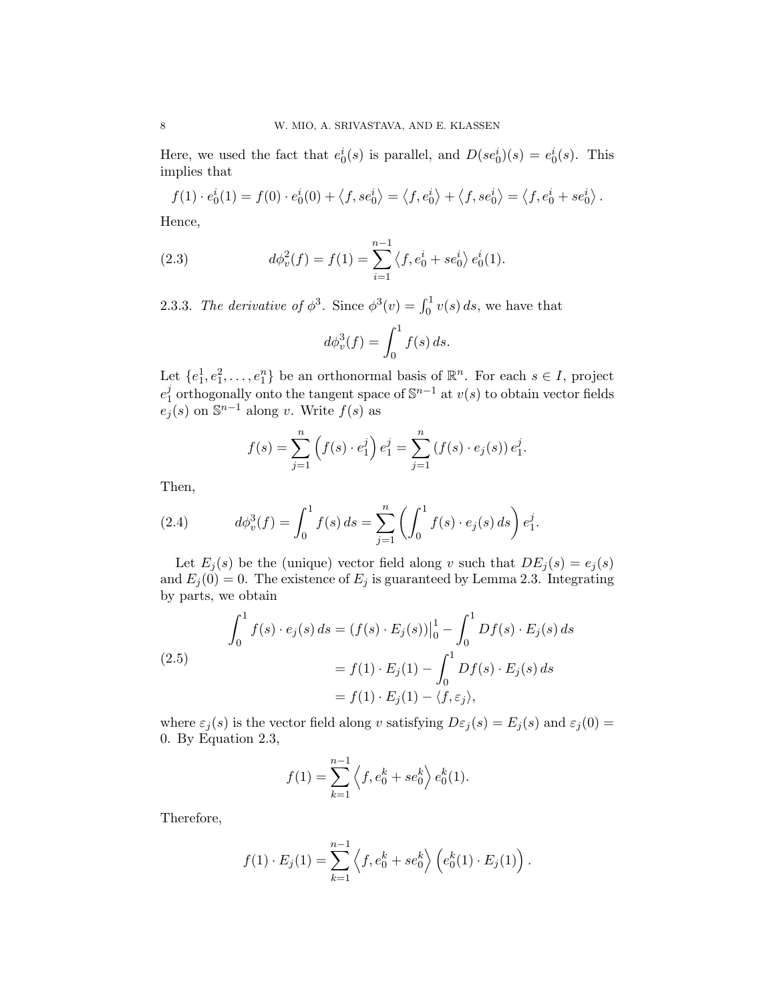Here, we used the fact that  $e_0^i(s)$  is parallel, and  $D(se_0^i)(s) = e_0^i(s)$ . This implies that

$$
f(1) \cdot e_0^i(1) = f(0) \cdot e_0^i(0) + \langle f, se_0^i \rangle = \langle f, e_0^i \rangle + \langle f, se_0^i \rangle = \langle f, e_0^i + se_0^i \rangle.
$$

Hence,

(2.3) 
$$
d\phi_v^2(f) = f(1) = \sum_{i=1}^{n-1} \langle f, e_0^i + s e_0^i \rangle e_0^i(1).
$$

2.3.3. The derivative of  $\phi^3$ . Since  $\phi^3(v) = \int_0^1 v(s) ds$ , we have that

$$
d\phi_v^3(f) = \int_0^1 f(s) \, ds.
$$

Let  $\{e_1^1, e_1^2, \ldots, e_1^n\}$  be an orthonormal basis of  $\mathbb{R}^n$ . For each  $s \in I$ , project  $e_1^j$ j orthogonally onto the tangent space of  $\mathbb{S}^{n-1}$  at  $v(s)$  to obtain vector fields  $e_j(s)$  on  $\mathbb{S}^{n-1}$  along v. Write  $f(s)$  as

$$
f(s) = \sum_{j=1}^{n} (f(s) \cdot e_1^j) e_1^j = \sum_{j=1}^{n} (f(s) \cdot e_j(s)) e_1^j.
$$

Then,

(2.4) 
$$
d\phi_v^3(f) = \int_0^1 f(s) \, ds = \sum_{j=1}^n \left( \int_0^1 f(s) \cdot e_j(s) \, ds \right) e_1^j.
$$

Let  $E_j(s)$  be the (unique) vector field along v such that  $DE_j(s) = e_j(s)$ and  $E_j(0) = 0$ . The existence of  $E_j$  is guaranteed by Lemma 2.3. Integrating by parts, we obtain

(2.5)  

$$
\int_0^1 f(s) \cdot e_j(s) ds = (f(s) \cdot E_j(s))\Big|_0^1 - \int_0^1 Df(s) \cdot E_j(s) ds
$$

$$
= f(1) \cdot E_j(1) - \int_0^1 Df(s) \cdot E_j(s) ds
$$

$$
= f(1) \cdot E_j(1) - \langle f, \varepsilon_j \rangle,
$$

where  $\varepsilon_j(s)$  is the vector field along v satisfying  $D\varepsilon_j(s) = E_j(s)$  and  $\varepsilon_j(0) =$ 0. By Equation 2.3,

$$
f(1) = \sum_{k=1}^{n-1} \left\langle f, e_0^k + s e_0^k \right\rangle e_0^k(1).
$$

Therefore,

$$
f(1) \cdot E_j(1) = \sum_{k=1}^{n-1} \left\langle f, e_0^k + s e_0^k \right\rangle \left( e_0^k(1) \cdot E_j(1) \right).
$$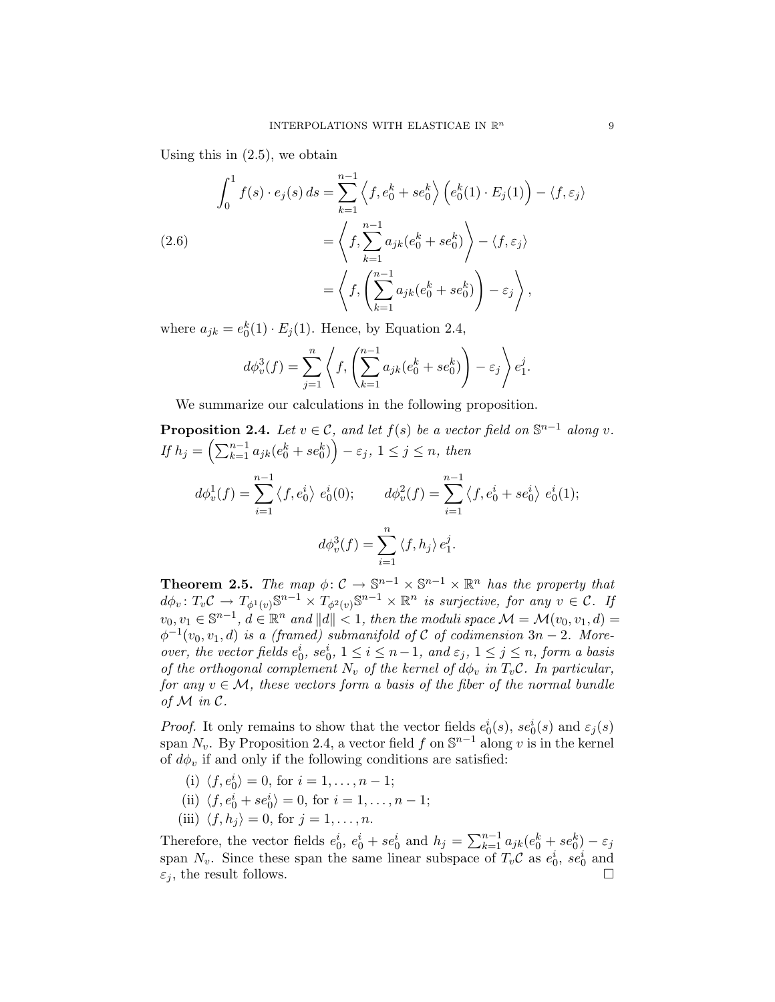Using this in (2.5), we obtain

(2.6)  
\n
$$
\int_0^1 f(s) \cdot e_j(s) ds = \sum_{k=1}^{n-1} \left\langle f, e_0^k + s e_0^k \right\rangle \left( e_0^k(1) \cdot E_j(1) \right) - \left\langle f, \varepsilon_j \right\rangle
$$
\n
$$
= \left\langle f, \sum_{k=1}^{n-1} a_{jk} (e_0^k + s e_0^k) \right\rangle - \left\langle f, \varepsilon_j \right\rangle
$$
\n
$$
= \left\langle f, \left( \sum_{k=1}^{n-1} a_{jk} (e_0^k + s e_0^k) \right) - \varepsilon_j \right\rangle,
$$

where  $a_{jk} = e_0^k(1) \cdot E_j(1)$ . Hence, by Equation 2.4,

$$
d\phi_v^3(f) = \sum_{j=1}^n \left\langle f, \left( \sum_{k=1}^{n-1} a_{jk}(e_0^k + s e_0^k) \right) - \varepsilon_j \right\rangle e_1^j.
$$

We summarize our calculations in the following proposition.

**Proposition 2.4.** Let 
$$
v \in C
$$
, and let  $f(s)$  be a vector field on  $\mathbb{S}^{n-1}$  along  $v$ .  
\nIf  $h_j = \left(\sum_{k=1}^{n-1} a_{jk}(e_0^k + s e_0^k)\right) - \varepsilon_j$ ,  $1 \le j \le n$ , then  
\n
$$
d\phi_v^1(f) = \sum_{i=1}^{n-1} \langle f, e_0^i \rangle e_0^i(0); \qquad d\phi_v^2(f) = \sum_{i=1}^{n-1} \langle f, e_0^i + s e_0^i \rangle e_0^i(1);
$$
\n
$$
d\phi_v^3(f) = \sum_{i=1}^n \langle f, h_j \rangle e_1^j.
$$

**Theorem 2.5.** The map  $\phi: \mathcal{C} \to \mathbb{S}^{n-1} \times \mathbb{S}^{n-1} \times \mathbb{R}^n$  has the property that  $d\phi_v: T_v \mathcal{C} \to T_{\phi^1(v)} \mathbb{S}^{n-1} \times T_{\phi^2(v)} \mathbb{S}^{n-1} \times \mathbb{R}^n$  is surjective, for any  $v \in \mathcal{C}$ . If  $v_0, v_1 \in \mathbb{S}^{n-1}, d \in \mathbb{R}^n$  and  $||d|| < 1$ , then the moduli space  $\mathcal{M} = \mathcal{M}(v_0, v_1, d) =$  $\phi^{-1}(v_0, v_1, d)$  is a (framed) submanifold of C of codimension  $3n - 2$ . Moreover, the vector fields  $e_0^i$ ,  $se_0^i$ ,  $1 \le i \le n-1$ , and  $\varepsilon_j$ ,  $1 \le j \le n$ , form a basis of the orthogonal complement  $N_v$  of the kernel of  $d\phi_v$  in  $T_v\mathcal{C}$ . In particular, for any  $v \in \mathcal{M}$ , these vectors form a basis of the fiber of the normal bundle of  $M$  in  $C$ .

*Proof.* It only remains to show that the vector fields  $e_0^i(s)$ ,  $se_0^i(s)$  and  $\varepsilon_j(s)$ span  $N_v$ . By Proposition 2.4, a vector field f on  $\mathbb{S}^{n-1}$  along v is in the kernel of  $d\phi_v$  if and only if the following conditions are satisfied:

- (i)  $\langle f, e_0^i \rangle = 0$ , for  $i = 1, \ldots, n 1$ ;
- (ii)  $\langle f, e_0^i + s e_0^i \rangle = 0$ , for  $i = 1, ..., n 1$ ;
- (iii)  $\langle f, h_j \rangle = 0$ , for  $j = 1, \ldots, n$ .

Therefore, the vector fields  $e_0^i$ ,  $e_0^i + s e_0^i$  and  $h_j = \sum_{k=1}^{n-1} a_{jk}(e_0^k + s e_0^k) - \varepsilon_j$ span  $N_v$ . Since these span the same linear subspace of  $T_v \mathcal{C}$  as  $e_0^i$ ,  $se_0^i$  and  $\varepsilon_j$ , the result follows.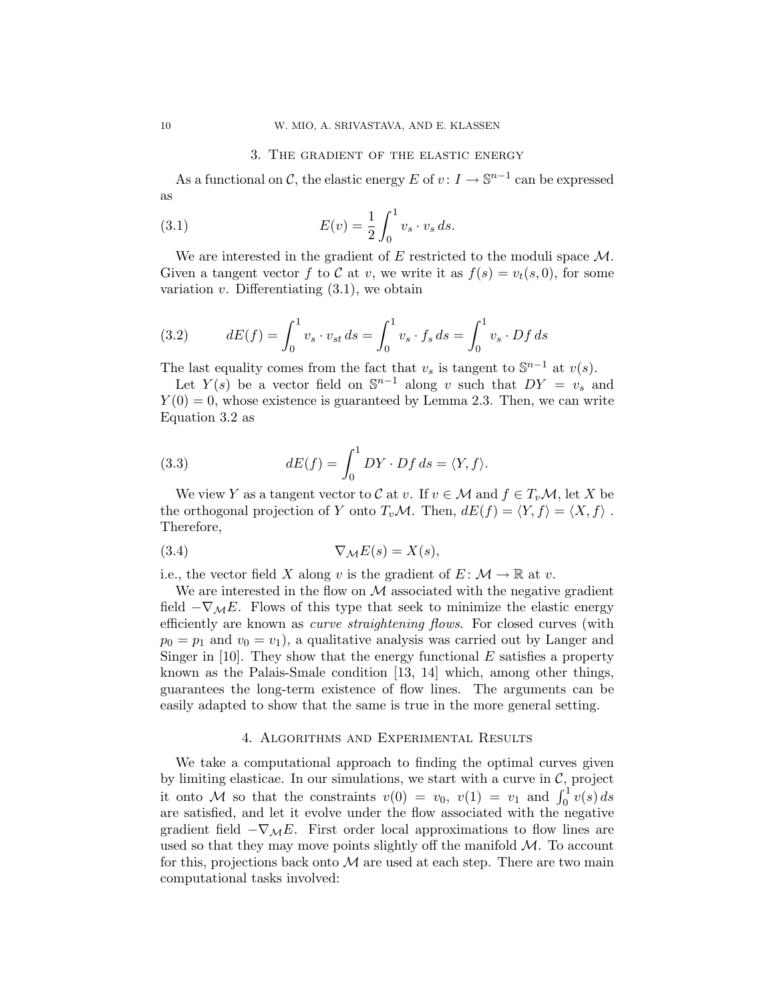## 3. The gradient of the elastic energy

As a functional on C, the elastic energy E of  $v: I \to \mathbb{S}^{n-1}$  can be expressed as

(3.1) 
$$
E(v) = \frac{1}{2} \int_0^1 v_s \cdot v_s ds.
$$

We are interested in the gradient of  $E$  restricted to the moduli space  $\mathcal{M}$ . Given a tangent vector f to C at v, we write it as  $f(s) = v_t(s, 0)$ , for some variation  $v$ . Differentiating  $(3.1)$ , we obtain

(3.2) 
$$
dE(f) = \int_0^1 v_s \cdot v_{st} ds = \int_0^1 v_s \cdot f_s ds = \int_0^1 v_s \cdot Df ds
$$

The last equality comes from the fact that  $v_s$  is tangent to  $\mathbb{S}^{n-1}$  at  $v(s)$ .

Let  $Y(s)$  be a vector field on  $\mathbb{S}^{n-1}$  along v such that  $DY = v_s$  and  $Y(0) = 0$ , whose existence is guaranteed by Lemma 2.3. Then, we can write Equation 3.2 as

(3.3) 
$$
dE(f) = \int_0^1 DY \cdot Df \, ds = \langle Y, f \rangle.
$$

We view Y as a tangent vector to C at v. If  $v \in \mathcal{M}$  and  $f \in T_v \mathcal{M}$ , let X be the orthogonal projection of Y onto  $T_v \mathcal{M}$ . Then,  $dE(f) = \langle Y, f \rangle = \langle X, f \rangle$ . Therefore,

$$
(3.4) \t\nabla_{\mathcal{M}} E(s) = X(s),
$$

i.e., the vector field X along v is the gradient of  $E: \mathcal{M} \to \mathbb{R}$  at v.

We are interested in the flow on  $\mathcal M$  associated with the negative gradient field  $-\nabla_{\mathcal{M}}E$ . Flows of this type that seek to minimize the elastic energy efficiently are known as *curve straightening flows*. For closed curves (with  $p_0 = p_1$  and  $v_0 = v_1$ , a qualitative analysis was carried out by Langer and Singer in [10]. They show that the energy functional  $E$  satisfies a property known as the Palais-Smale condition [13, 14] which, among other things, guarantees the long-term existence of flow lines. The arguments can be easily adapted to show that the same is true in the more general setting.

#### 4. Algorithms and Experimental Results

We take a computational approach to finding the optimal curves given by limiting elasticae. In our simulations, we start with a curve in  $C$ , project it onto M so that the constraints  $v(0) = v_0, v(1) = v_1$  and  $\int_0^1 v(s) ds$ are satisfied, and let it evolve under the flow associated with the negative gradient field  $-\nabla_{\mathcal{M}}E$ . First order local approximations to flow lines are used so that they may move points slightly off the manifold  $M$ . To account for this, projections back onto  $M$  are used at each step. There are two main computational tasks involved: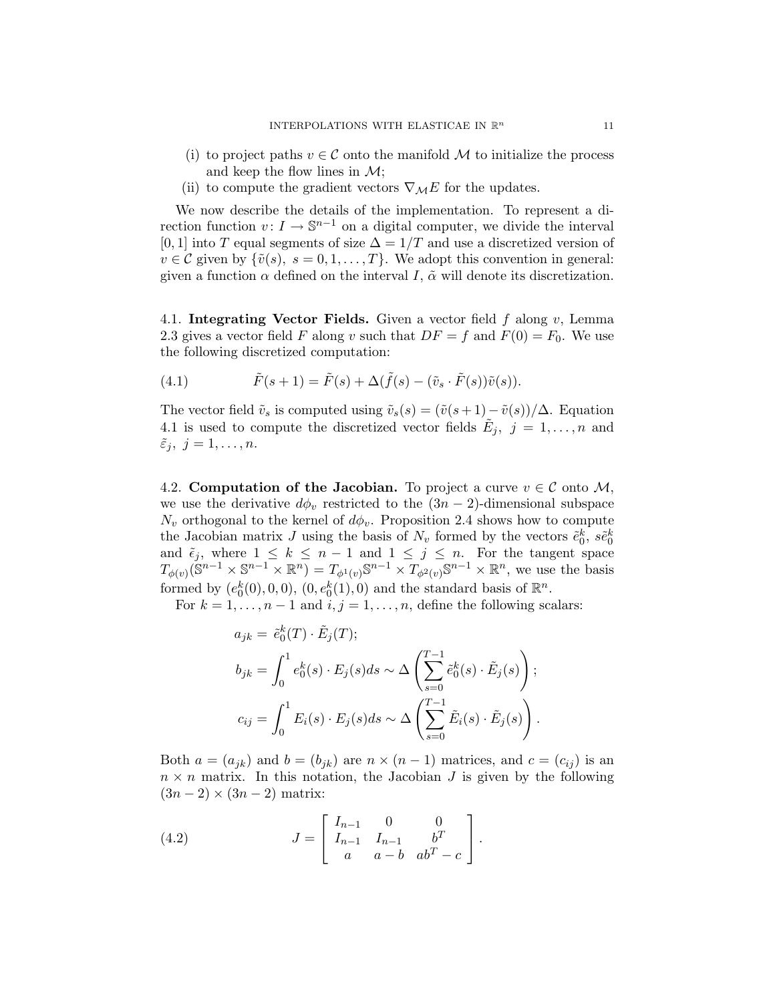- (i) to project paths  $v \in \mathcal{C}$  onto the manifold M to initialize the process and keep the flow lines in  $\mathcal{M}$ ;
- (ii) to compute the gradient vectors  $\nabla_{\mathcal{M}}E$  for the updates.

We now describe the details of the implementation. To represent a direction function  $v: I \to \mathbb{S}^{n-1}$  on a digital computer, we divide the interval [0, 1] into T equal segments of size  $\Delta = 1/T$  and use a discretized version of  $v \in \mathcal{C}$  given by  $\{\tilde{v}(s), s = 0, 1, ..., T\}$ . We adopt this convention in general: given a function  $\alpha$  defined on the interval I,  $\tilde{\alpha}$  will denote its discretization.

4.1. Integrating Vector Fields. Given a vector field  $f$  along  $v$ , Lemma 2.3 gives a vector field F along v such that  $DF = f$  and  $F(0) = F_0$ . We use the following discretized computation:

(4.1) 
$$
\tilde{F}(s+1) = \tilde{F}(s) + \Delta(\tilde{f}(s) - (\tilde{v}_s \cdot \tilde{F}(s))\tilde{v}(s)).
$$

The vector field  $\tilde{v}_s$  is computed using  $\tilde{v}_s(s) = (\tilde{v}(s+1)-\tilde{v}(s))/\Delta$ . Equation 4.1 is used to compute the discretized vector fields  $\tilde{E}_j$ ,  $j = 1, \ldots, n$  and  $\tilde{\varepsilon}_j, j = 1, \ldots, n.$ 

4.2. Computation of the Jacobian. To project a curve  $v \in \mathcal{C}$  onto M, we use the derivative  $d\phi_v$  restricted to the  $(3n-2)$ -dimensional subspace  $N_v$  orthogonal to the kernel of  $d\phi_v$ . Proposition 2.4 shows how to compute the Jacobian matrix J using the basis of  $N_v$  formed by the vectors  $\tilde{e}_0^k$ ,  $\tilde{e}_0^k$ and  $\tilde{\epsilon}_j$ , where  $1 \leq k \leq n-1$  and  $1 \leq j \leq n$ . For the tangent space  $T_{\phi(v)}(\mathbb{S}^{n-1}\times\mathbb{S}^{n-1}\times\mathbb{R}^n)=T_{\phi^1(v)}\mathbb{S}^{n-1}\times T_{\phi^2(v)}\mathbb{S}^{n-1}\times\mathbb{R}^n$ , we use the basis formed by  $(e_0^k(0), 0, 0), (0, e_0^k(1), 0)$  and the standard basis of  $\mathbb{R}^n$ .

For  $k = 1, \ldots, n - 1$  and  $i, j = 1, \ldots, n$ , define the following scalars:

$$
a_{jk} = \tilde{e}_0^k(T) \cdot \tilde{E}_j(T);
$$
  
\n
$$
b_{jk} = \int_0^1 e_0^k(s) \cdot E_j(s)ds \sim \Delta \left(\sum_{s=0}^{T-1} \tilde{e}_0^k(s) \cdot \tilde{E}_j(s)\right);
$$
  
\n
$$
c_{ij} = \int_0^1 E_i(s) \cdot E_j(s)ds \sim \Delta \left(\sum_{s=0}^{T-1} \tilde{E}_i(s) \cdot \tilde{E}_j(s)\right).
$$

Both  $a = (a_{jk})$  and  $b = (b_{jk})$  are  $n \times (n-1)$  matrices, and  $c = (c_{ij})$  is an  $n \times n$  matrix. In this notation, the Jacobian J is given by the following  $(3n-2) \times (3n-2)$  matrix:

(4.2) 
$$
J = \begin{bmatrix} I_{n-1} & 0 & 0 \\ I_{n-1} & I_{n-1} & b^T \\ a & a-b & ab^T - c \end{bmatrix}.
$$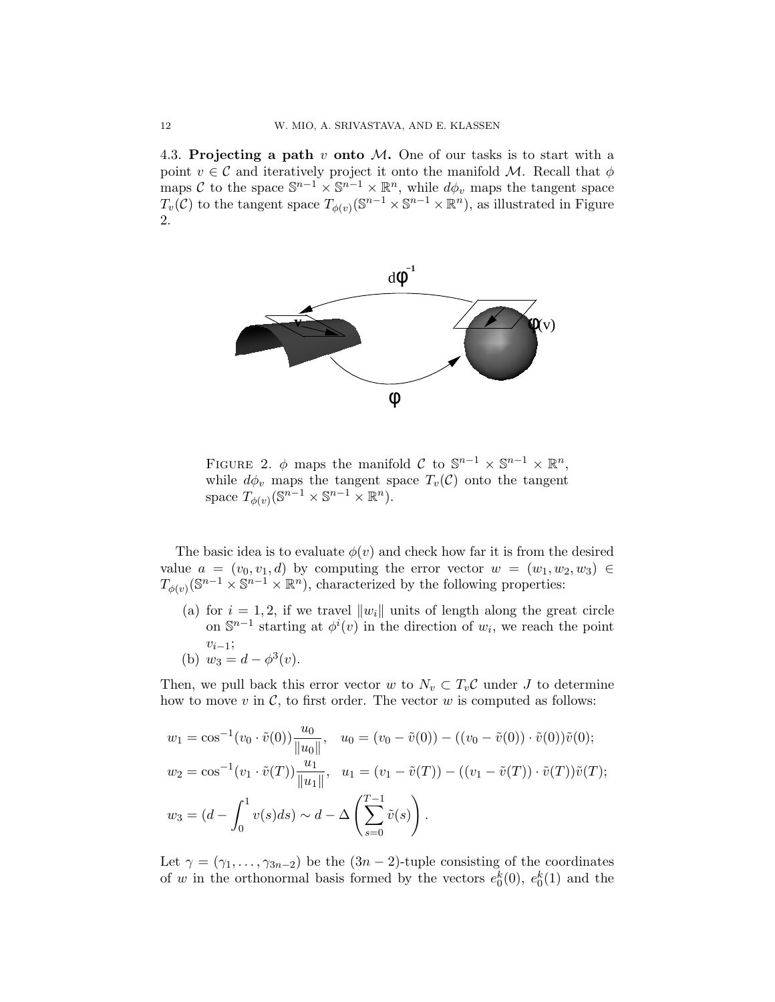4.3. Projecting a path  $v$  onto  $M$ . One of our tasks is to start with a point  $v \in \mathcal{C}$  and iteratively project it onto the manifold M. Recall that  $\phi$ maps C to the space  $\mathbb{S}^{n-1} \times \mathbb{S}^{n-1} \times \mathbb{R}^n$ , while  $d\phi_v$  maps the tangent space  $T_v(\mathcal{C})$  to the tangent space  $T_{\phi(v)}(\mathbb{S}^{n-1}\times\mathbb{S}^{n-1}\times\mathbb{R}^n)$ , as illustrated in Figure 2.



FIGURE 2.  $\phi$  maps the manifold C to  $\mathbb{S}^{n-1} \times \mathbb{S}^{n-1} \times \mathbb{R}^n$ , while  $d\phi_v$  maps the tangent space  $T_v(\mathcal{C})$  onto the tangent space  $T_{\phi(v)}(\mathbb{S}^{n-1}\times \mathbb{S}^{n-1}\times \mathbb{R}^n)$ .

The basic idea is to evaluate  $\phi(v)$  and check how far it is from the desired value  $a = (v_0, v_1, d)$  by computing the error vector  $w = (w_1, w_2, w_3) \in$  $T_{\phi(v)}(\mathbb{S}^{n-1}\times\mathbb{S}^{n-1}\times\mathbb{R}^n)$ , characterized by the following properties:

- (a) for  $i = 1, 2$ , if we travel  $||w_i||$  units of length along the great circle on  $\mathbb{S}^{n-1}$  starting at  $\phi^i(v)$  in the direction of  $w_i$ , we reach the point  $v_{i-1}$ ;
- (b)  $w_3 = d \phi^3(v)$ .

Then, we pull back this error vector w to  $N_v \subset T_v\mathcal{C}$  under J to determine how to move  $v$  in  $\mathcal{C}$ , to first order. The vector  $w$  is computed as follows:

$$
w_1 = \cos^{-1}(v_0 \cdot \tilde{v}(0)) \frac{u_0}{\|u_0\|}, \quad u_0 = (v_0 - \tilde{v}(0)) - ((v_0 - \tilde{v}(0)) \cdot \tilde{v}(0))\tilde{v}(0);
$$
  
\n
$$
w_2 = \cos^{-1}(v_1 \cdot \tilde{v}(T)) \frac{u_1}{\|u_1\|}, \quad u_1 = (v_1 - \tilde{v}(T)) - ((v_1 - \tilde{v}(T)) \cdot \tilde{v}(T))\tilde{v}(T);
$$
  
\n
$$
w_3 = (d - \int_0^1 v(s)ds) \sim d - \Delta \left(\sum_{s=0}^{T-1} \tilde{v}(s)\right).
$$

Let  $\gamma = (\gamma_1, \ldots, \gamma_{3n-2})$  be the  $(3n-2)$ -tuple consisting of the coordinates of w in the orthonormal basis formed by the vectors  $e_0^k(0)$ ,  $e_0^k(1)$  and the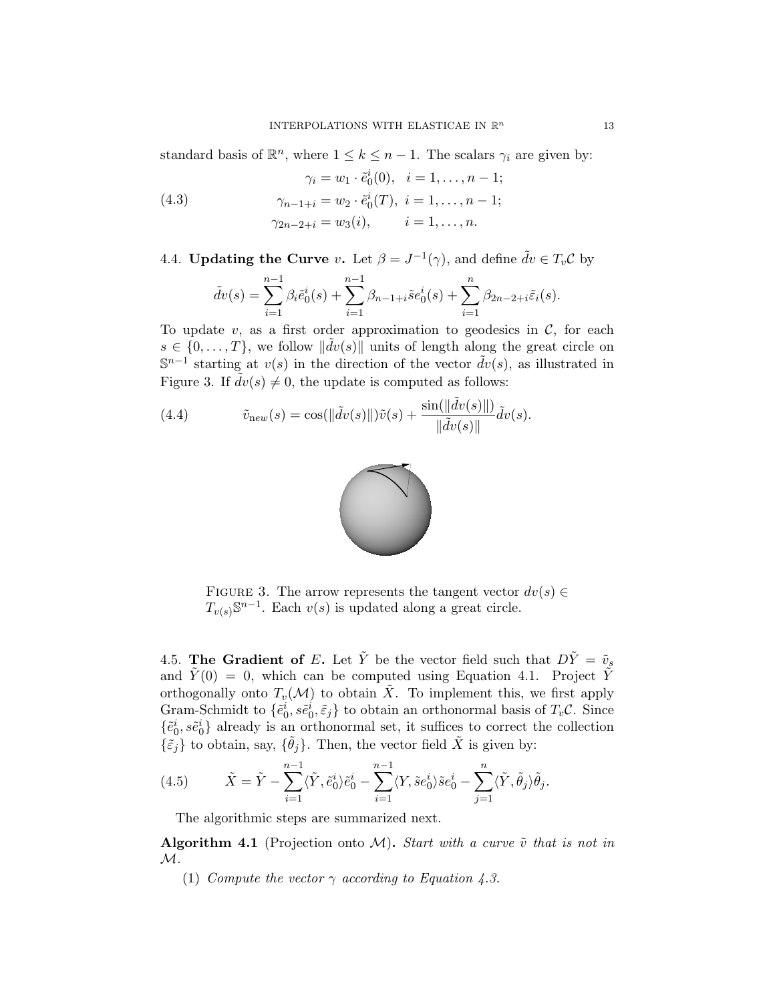standard basis of  $\mathbb{R}^n$ , where  $1 \leq k \leq n-1$ . The scalars  $\gamma_i$  are given by:

(4.3) 
$$
\gamma_i = w_1 \cdot \tilde{e}_0^i(0), \quad i = 1, ..., n-1; \n\gamma_{n-1+i} = w_2 \cdot \tilde{e}_0^i(T), \quad i = 1, ..., n-1; \n\gamma_{2n-2+i} = w_3(i), \qquad i = 1, ..., n.
$$

4.4. Updating the Curve v. Let  $\beta = J^{-1}(\gamma)$ , and define  $\tilde{d}v \in T_v C$  by

$$
\tilde{d}v(s) = \sum_{i=1}^{n-1} \beta_i \tilde{e}_0^i(s) + \sum_{i=1}^{n-1} \beta_{n-1+i} \tilde{e}_0^i(s) + \sum_{i=1}^{n} \beta_{2n-2+i} \tilde{e}_i(s).
$$

To update v, as a first order approximation to geodesics in  $\mathcal{C}$ , for each  $s \in \{0, \ldots, T\}$ , we follow  $\|\tilde{dv}(s)\|$  units of length along the great circle on  $\mathbb{S}^{n-1}$  starting at  $v(s)$  in the direction of the vector  $\tilde{d}v(s)$ , as illustrated in Figure 3. If  $dv(s) \neq 0$ , the update is computed as follows:

(4.4) 
$$
\tilde{v}_{\text{new}}(s) = \cos(||\tilde{d}v(s)||)\tilde{v}(s) + \frac{\sin(||\tilde{d}v(s)||)}{||\tilde{d}v(s)||}\tilde{d}v(s).
$$



FIGURE 3. The arrow represents the tangent vector  $dv(s) \in$  $T_{v(s)}\mathbb{S}^{n-1}$ . Each  $v(s)$  is updated along a great circle.

4.5. The Gradient of E. Let  $\tilde{Y}$  be the vector field such that  $D\tilde{Y} = \tilde{v}_s$ and  $\tilde{Y}(0) = 0$ , which can be computed using Equation 4.1. Project  $\tilde{Y}$ orthogonally onto  $T_v(\mathcal{M})$  to obtain  $\tilde{X}$ . To implement this, we first apply Gram-Schmidt to  $\{\tilde{e}_0^i, \tilde{se}_0^i, \tilde{\varepsilon}_j\}$  to obtain an orthonormal basis of  $T_v\mathcal{C}$ . Since  $\{\tilde{e}_0^i, s\tilde{e}_0^i\}$  already is an orthonormal set, it suffices to correct the collection  $\{\tilde{\epsilon}_j\}$  to obtain, say,  $\{\tilde{\theta}_j\}$ . Then, the vector field  $\tilde{X}$  is given by:

(4.5) 
$$
\tilde{X} = \tilde{Y} - \sum_{i=1}^{n-1} \langle \tilde{Y}, \tilde{e}_0^i \rangle \tilde{e}_0^i - \sum_{i=1}^{n-1} \langle Y, \tilde{e}_0^i \rangle \tilde{e}_0^i - \sum_{j=1}^n \langle \tilde{Y}, \tilde{\theta}_j \rangle \tilde{\theta}_j.
$$

The algorithmic steps are summarized next.

Algorithm 4.1 (Projection onto M). Start with a curve  $\tilde{v}$  that is not in  $\mathcal{M}.$ 

(1) Compute the vector  $\gamma$  according to Equation 4.3.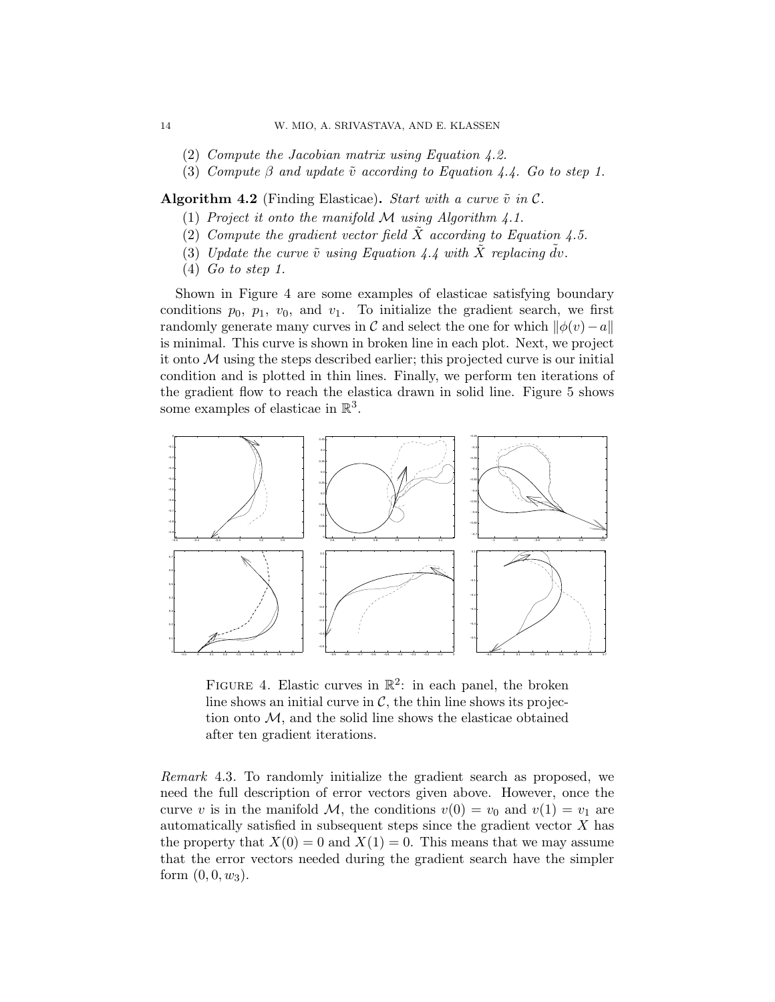- (2) Compute the Jacobian matrix using Equation 4.2.
- (3) Compute  $\beta$  and update  $\tilde{v}$  according to Equation 4.4. Go to step 1.

**Algorithm 4.2** (Finding Elasticae). Start with a curve  $\tilde{v}$  in  $\mathcal{C}$ .

- (1) Project it onto the manifold  $M$  using Algorithm 4.1.
- (2) Compute the gradient vector field  $X$  according to Equation 4.5.
- (3) Update the curve  $\tilde{v}$  using Equation 4.4 with  $\tilde{X}$  replacing  $\tilde{d}v$ .
- (4) Go to step 1.

Shown in Figure 4 are some examples of elasticae satisfying boundary conditions  $p_0$ ,  $p_1$ ,  $v_0$ , and  $v_1$ . To initialize the gradient search, we first randomly generate many curves in C and select the one for which  $\|\phi(v)-a\|$ is minimal. This curve is shown in broken line in each plot. Next, we project it onto  $\mathcal M$  using the steps described earlier; this projected curve is our initial condition and is plotted in thin lines. Finally, we perform ten iterations of the gradient flow to reach the elastica drawn in solid line. Figure 5 shows some examples of elasticae in  $\mathbb{R}^3$ .



FIGURE 4. Elastic curves in  $\mathbb{R}^2$ : in each panel, the broken line shows an initial curve in  $\mathcal{C}$ , the thin line shows its projection onto  $\mathcal M$ , and the solid line shows the elasticae obtained after ten gradient iterations.

Remark 4.3. To randomly initialize the gradient search as proposed, we need the full description of error vectors given above. However, once the curve v is in the manifold M, the conditions  $v(0) = v_0$  and  $v(1) = v_1$  are automatically satisfied in subsequent steps since the gradient vector  $X$  has the property that  $X(0) = 0$  and  $X(1) = 0$ . This means that we may assume that the error vectors needed during the gradient search have the simpler form  $(0, 0, w_3)$ .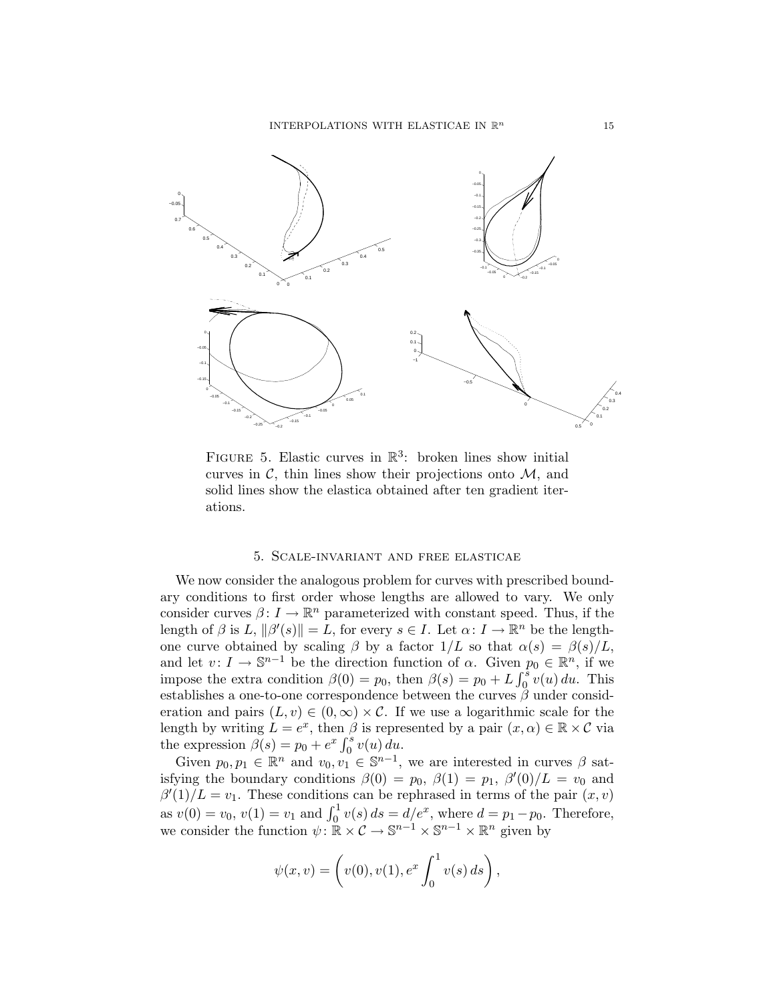

FIGURE 5. Elastic curves in  $\mathbb{R}^3$ : broken lines show initial curves in  $\mathcal{C}$ , thin lines show their projections onto  $\mathcal{M}$ , and solid lines show the elastica obtained after ten gradient iterations.

### 5. Scale-invariant and free elasticae

We now consider the analogous problem for curves with prescribed boundary conditions to first order whose lengths are allowed to vary. We only consider curves  $\beta: I \to \mathbb{R}^n$  parameterized with constant speed. Thus, if the length of  $\beta$  is  $L, \|\beta'(s)\| = L$ , for every  $s \in I$ . Let  $\alpha: I \to \mathbb{R}^n$  be the lengthone curve obtained by scaling  $\beta$  by a factor  $1/L$  so that  $\alpha(s) = \beta(s)/L$ , and let  $v: I \to \mathbb{S}^{n-1}$  be the direction function of  $\alpha$ . Given  $p_0 \in \mathbb{R}^n$ , if we impose the extra condition  $\beta(0) = p_0$ , then  $\beta(s) = p_0 + L \int_0^s v(u) du$ . This establishes a one-to-one correspondence between the curves  $\beta$  under consideration and pairs  $(L, v) \in (0, \infty) \times C$ . If we use a logarithmic scale for the length by writing  $L = e^x$ , then  $\beta$  is represented by a pair  $(x, \alpha) \in \mathbb{R} \times C$  via the expression  $\beta(s) = p_0 + e^x \int_0^s v(u) du$ .

Given  $p_0, p_1 \in \mathbb{R}^n$  and  $v_0, v_1 \in \mathbb{S}^{n-1}$ , we are interested in curves  $\beta$  satisfying the boundary conditions  $\beta(0) = p_0$ ,  $\beta(1) = p_1$ ,  $\beta'(0)/L = v_0$  and  $\beta'(1)/L = v_1$ . These conditions can be rephrased in terms of the pair  $(x, v)$ as  $v(0) = v_0, v(1) = v_1$  and  $\int_0^1 v(s) ds = d/e^x$ , where  $d = p_1 - p_0$ . Therefore, we consider the function  $\psi: \mathbb{R} \times C \to \mathbb{S}^{n-1} \times \mathbb{S}^{n-1} \times \mathbb{R}^n$  given by

$$
\psi(x, v) = \left(v(0), v(1), e^x \int_0^1 v(s) ds\right),
$$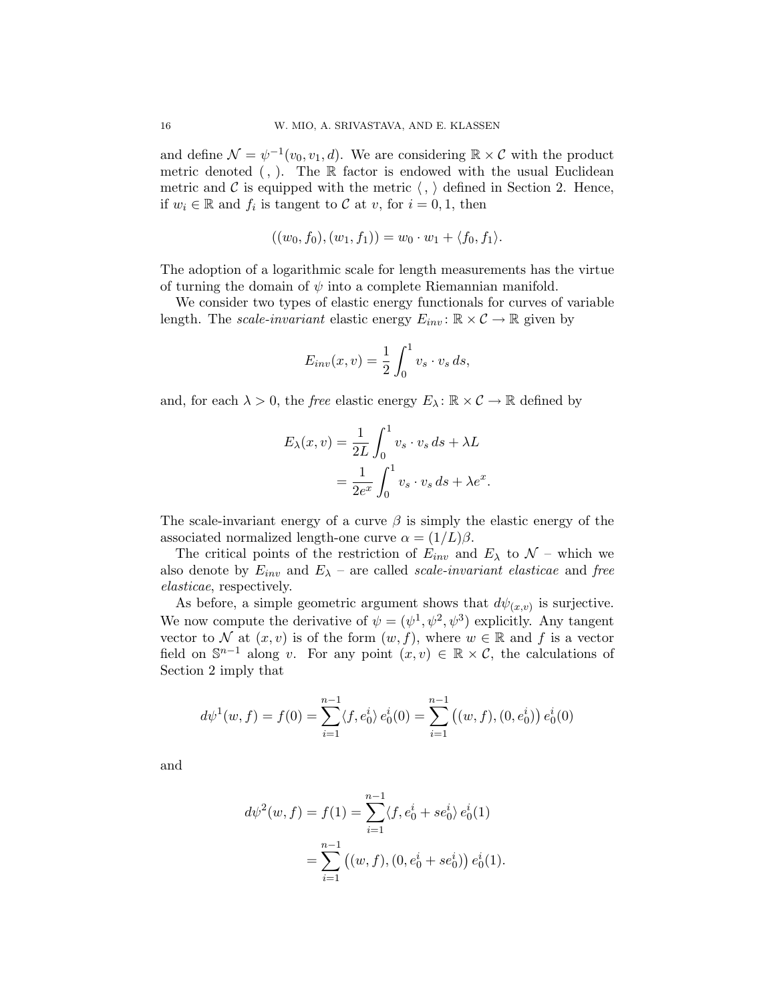and define  $\mathcal{N} = \psi^{-1}(v_0, v_1, d)$ . We are considering  $\mathbb{R} \times \mathcal{C}$  with the product metric denoted  $($ ,  $)$ . The R factor is endowed with the usual Euclidean metric and C is equipped with the metric  $\langle , \rangle$  defined in Section 2. Hence, if  $w_i \in \mathbb{R}$  and  $f_i$  is tangent to C at v, for  $i = 0, 1$ , then

$$
((w_0, f_0), (w_1, f_1)) = w_0 \cdot w_1 + \langle f_0, f_1 \rangle.
$$

The adoption of a logarithmic scale for length measurements has the virtue of turning the domain of  $\psi$  into a complete Riemannian manifold.

We consider two types of elastic energy functionals for curves of variable length. The *scale-invariant* elastic energy  $E_{inv}$ :  $\mathbb{R} \times \mathcal{C} \rightarrow \mathbb{R}$  given by

$$
E_{inv}(x,v) = \frac{1}{2} \int_0^1 v_s \cdot v_s ds,
$$

and, for each  $\lambda > 0$ , the *free* elastic energy  $E_{\lambda} : \mathbb{R} \times C \to \mathbb{R}$  defined by

$$
E_{\lambda}(x,v) = \frac{1}{2L} \int_0^1 v_s \cdot v_s ds + \lambda L
$$
  
= 
$$
\frac{1}{2e^x} \int_0^1 v_s \cdot v_s ds + \lambda e^x.
$$

The scale-invariant energy of a curve  $\beta$  is simply the elastic energy of the associated normalized length-one curve  $\alpha = (1/L)\beta$ .

The critical points of the restriction of  $E_{inv}$  and  $E_{\lambda}$  to  $\mathcal{N}$  – which we also denote by  $E_{inv}$  and  $E_{\lambda}$  – are called scale-invariant elasticae and free elasticae, respectively.

As before, a simple geometric argument shows that  $d\psi_{(x,v)}$  is surjective. We now compute the derivative of  $\psi = (\psi^1, \psi^2, \psi^3)$  explicitly. Any tangent vector to N at  $(x, v)$  is of the form  $(w, f)$ , where  $w \in \mathbb{R}$  and f is a vector field on  $\mathbb{S}^{n-1}$  along v. For any point  $(x, v) \in \mathbb{R} \times \mathcal{C}$ , the calculations of Section 2 imply that

$$
d\psi^{1}(w, f) = f(0) = \sum_{i=1}^{n-1} \langle f, e_{0}^{i} \rangle e_{0}^{i}(0) = \sum_{i=1}^{n-1} ((w, f), (0, e_{0}^{i})) e_{0}^{i}(0)
$$

and

$$
d\psi^{2}(w, f) = f(1) = \sum_{i=1}^{n-1} \langle f, e_{0}^{i} + s e_{0}^{i} \rangle e_{0}^{i}(1)
$$
  
= 
$$
\sum_{i=1}^{n-1} ((w, f), (0, e_{0}^{i} + s e_{0}^{i})) e_{0}^{i}(1).
$$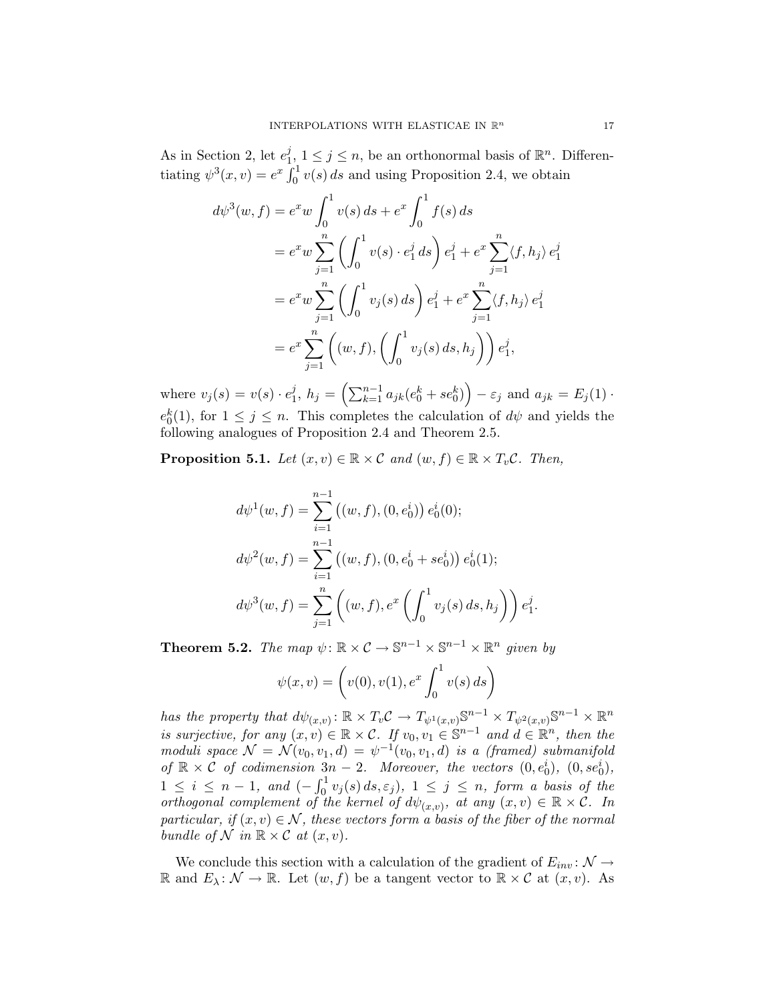As in Section 2, let  $e_1^j$  $j, 1 \leq j \leq n$ , be an orthonormal basis of  $\mathbb{R}^n$ . Differentiating  $\psi^3(x, v) = e^x \int_0^1 v(s) ds$  and using Proposition 2.4, we obtain

$$
d\psi^{3}(w, f) = e^{x}w \int_{0}^{1} v(s) ds + e^{x} \int_{0}^{1} f(s) ds
$$
  
\n
$$
= e^{x}w \sum_{j=1}^{n} \left( \int_{0}^{1} v(s) \cdot e_{1}^{j} ds \right) e_{1}^{j} + e^{x} \sum_{j=1}^{n} \langle f, h_{j} \rangle e_{1}^{j}
$$
  
\n
$$
= e^{x}w \sum_{j=1}^{n} \left( \int_{0}^{1} v_{j}(s) ds \right) e_{1}^{j} + e^{x} \sum_{j=1}^{n} \langle f, h_{j} \rangle e_{1}^{j}
$$
  
\n
$$
= e^{x} \sum_{j=1}^{n} \left( (w, f), \left( \int_{0}^{1} v_{j}(s) ds, h_{j} \right) \right) e_{1}^{j},
$$

where  $v_j(s) = v(s) \cdot e_1^j$  $j, h_j = \left(\sum_{k=1}^{n-1} a_{jk} (e_0^k + s e_0^k) \right) - \varepsilon_j$  and  $a_{jk} = E_j(1)$ .  $e_0^k(1)$ , for  $1 \leq j \leq n$ . This completes the calculation of  $d\psi$  and yields the following analogues of Proposition 2.4 and Theorem 2.5.

**Proposition 5.1.** Let  $(x, v) \in \mathbb{R} \times \mathcal{C}$  and  $(w, f) \in \mathbb{R} \times T_v\mathcal{C}$ . Then,

$$
d\psi^{1}(w, f) = \sum_{i=1}^{n-1} ((w, f), (0, e_{0}^{i})) e_{0}^{i}(0);
$$
  
\n
$$
d\psi^{2}(w, f) = \sum_{i=1}^{n-1} ((w, f), (0, e_{0}^{i} + s e_{0}^{i})) e_{0}^{i}(1);
$$
  
\n
$$
d\psi^{3}(w, f) = \sum_{j=1}^{n} ((w, f), e^{x} \left( \int_{0}^{1} v_{j}(s) ds, h_{j} \right) e_{1}^{j}.
$$

**Theorem 5.2.** The map  $\psi: \mathbb{R} \times \mathcal{C} \to \mathbb{S}^{n-1} \times \mathbb{S}^{n-1} \times \mathbb{R}^n$  given by

$$
\psi(x, v) = \left(v(0), v(1), e^x \int_0^1 v(s) ds\right)
$$

has the property that  $d\psi_{(x,v)} : \mathbb{R} \times T_v \mathcal{C} \to T_{\psi^1(x,v)} \mathbb{S}^{n-1} \times T_{\psi^2(x,v)} \mathbb{S}^{n-1} \times \mathbb{R}^n$ is surjective, for any  $(x, v) \in \mathbb{R} \times \mathcal{C}$ . If  $v_0, v_1 \in \mathbb{S}^{n-1}$  and  $d \in \mathbb{R}^n$ , then the moduli space  $\mathcal{N} = \mathcal{N}(v_0, v_1, d) = \psi^{-1}(v_0, v_1, d)$  is a (framed) submanifold of  $\mathbb{R} \times \mathcal{C}$  of codimension  $3n - 2$ . Moreover, the vectors  $(0, e_0^i)$ ,  $(0, s e_0^i)$ ,  $1 \leq i \leq n-1$ , and  $\left(-\int_0^1 v_j(s) ds, \varepsilon_j\right)$ ,  $1 \leq j \leq n$ , form a basis of the orthogonal complement of the kernel of  $d\psi_{(x,v)}$ , at any  $(x,v) \in \mathbb{R} \times \mathcal{C}$ . In particular, if  $(x, v) \in \mathcal{N}$ , these vectors form a basis of the fiber of the normal bundle of N in  $\mathbb{R} \times C$  at  $(x, v)$ .

We conclude this section with a calculation of the gradient of  $E_{inv}: \mathcal{N} \to$ R and  $E_\lambda: \mathcal{N} \to \mathbb{R}$ . Let  $(w, f)$  be a tangent vector to  $\mathbb{R} \times \mathcal{C}$  at  $(x, v)$ . As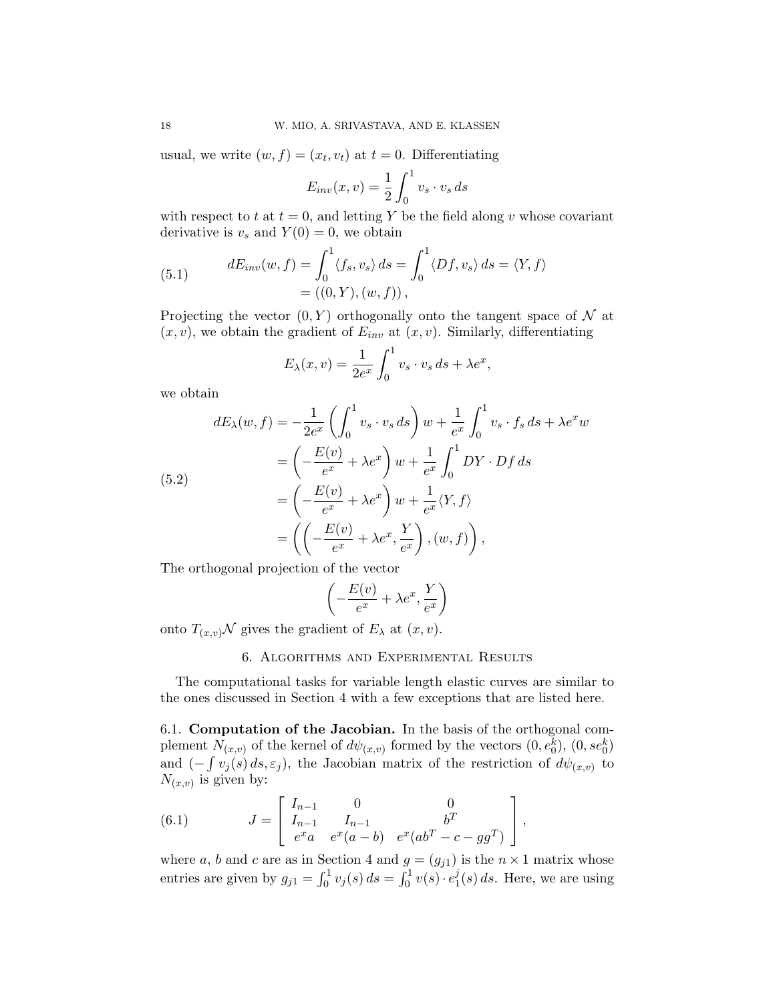usual, we write  $(w, f) = (x_t, v_t)$  at  $t = 0$ . Differentiating

$$
E_{inv}(x,v) = \frac{1}{2} \int_0^1 v_s \cdot v_s \, ds
$$

with respect to t at  $t = 0$ , and letting Y be the field along v whose covariant derivative is  $v_s$  and  $Y(0) = 0$ , we obtain

(5.1) 
$$
dE_{inv}(w, f) = \int_0^1 \langle f_s, v_s \rangle ds = \int_0^1 \langle Df, v_s \rangle ds = \langle Y, f \rangle
$$

$$
= ((0, Y), (w, f)),
$$

Projecting the vector  $(0, Y)$  orthogonally onto the tangent space of N at  $(x, v)$ , we obtain the gradient of  $E_{inv}$  at  $(x, v)$ . Similarly, differentiating

$$
E_{\lambda}(x,v) = \frac{1}{2e^x} \int_0^1 v_s \cdot v_s \, ds + \lambda e^x,
$$

we obtain

(5.2)  
\n
$$
dE_{\lambda}(w, f) = -\frac{1}{2e^x} \left( \int_0^1 v_s \cdot v_s ds \right) w + \frac{1}{e^x} \int_0^1 v_s \cdot f_s ds + \lambda e^x w
$$
\n
$$
= \left( -\frac{E(v)}{e^x} + \lambda e^x \right) w + \frac{1}{e^x} \int_0^1 DY \cdot Df ds
$$
\n
$$
= \left( -\frac{E(v)}{e^x} + \lambda e^x \right) w + \frac{1}{e^x} \langle Y, f \rangle
$$
\n
$$
= \left( \left( -\frac{E(v)}{e^x} + \lambda e^x, \frac{Y}{e^x} \right), (w, f) \right),
$$

The orthogonal projection of the vector

$$
\left(-\frac{E(v)}{e^x} + \lambda e^x, \frac{Y}{e^x}\right)
$$

onto  $T_{(x,v)}\mathcal{N}$  gives the gradient of  $E_{\lambda}$  at  $(x, v)$ .

# 6. Algorithms and Experimental Results

The computational tasks for variable length elastic curves are similar to the ones discussed in Section 4 with a few exceptions that are listed here.

6.1. Computation of the Jacobian. In the basis of the orthogonal complement  $N_{(x,v)}$  of the kernel of  $d\psi_{(x,v)}$  formed by the vectors  $(0, e_0^k)$ ,  $(0, s e_0^k)$ and  $(-\int v_j(s) ds, \varepsilon_j)$ , the Jacobian matrix of the restriction of  $d\psi_{(x,v)}$  to  $N_{(x,v)}$  is given by:

(6.1) 
$$
J = \begin{bmatrix} I_{n-1} & 0 & 0 \\ I_{n-1} & I_{n-1} & b^T \\ e^x a & e^x (a-b) & e^x (ab^T - c - gg^T) \end{bmatrix},
$$

where a, b and c are as in Section 4 and  $g = (g_{j1})$  is the  $n \times 1$  matrix whose entries are given by  $g_{j1} = \int_0^1 v_j(s) \, ds = \int_0^1 v(s) \cdot e_1^j$  $j_1(s) ds$ . Here, we are using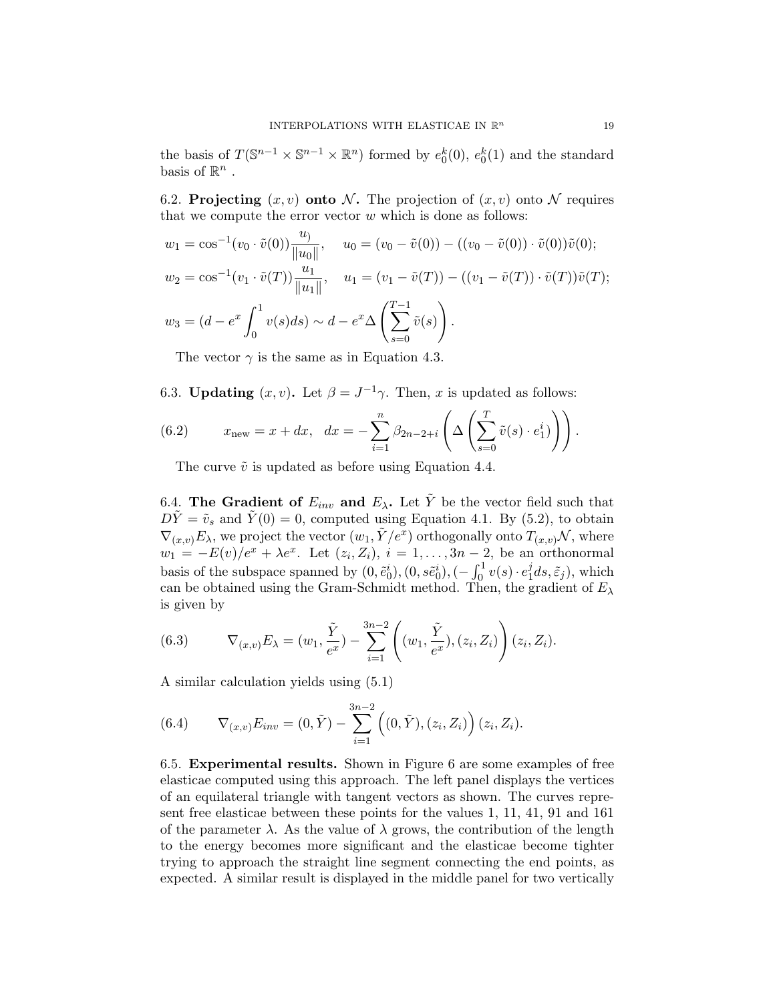the basis of  $T(\mathbb{S}^{n-1} \times \mathbb{S}^{n-1} \times \mathbb{R}^n)$  formed by  $e_0^k(0)$ ,  $e_0^k(1)$  and the standard basis of  $\mathbb{R}^n$ .

6.2. Projecting  $(x, v)$  onto N. The projection of  $(x, v)$  onto N requires that we compute the error vector  $w$  which is done as follows:

$$
w_1 = \cos^{-1}(v_0 \cdot \tilde{v}(0)) \frac{u_0}{\|u_0\|}, \quad u_0 = (v_0 - \tilde{v}(0)) - ((v_0 - \tilde{v}(0)) \cdot \tilde{v}(0))\tilde{v}(0);
$$
  
\n
$$
w_2 = \cos^{-1}(v_1 \cdot \tilde{v}(T)) \frac{u_1}{\|u_1\|}, \quad u_1 = (v_1 - \tilde{v}(T)) - ((v_1 - \tilde{v}(T)) \cdot \tilde{v}(T))\tilde{v}(T);
$$
  
\n
$$
w_3 = (d - e^x \int_0^1 v(s)ds) \sim d - e^x \Delta \left(\sum_{s=0}^{T-1} \tilde{v}(s)\right).
$$

The vector  $\gamma$  is the same as in Equation 4.3.

6.3. Updating  $(x, v)$ . Let  $\beta = J^{-1}\gamma$ . Then, x is updated as follows:

(6.2) 
$$
x_{\text{new}} = x + dx, \quad dx = -\sum_{i=1}^{n} \beta_{2n-2+i} \left( \Delta \left( \sum_{s=0}^{T} \tilde{v}(s) \cdot e_1^{i} \right) \right).
$$

The curve  $\tilde{v}$  is updated as before using Equation 4.4.

6.4. The Gradient of  $E_{inv}$  and  $E_{\lambda}$ . Let  $\tilde{Y}$  be the vector field such that  $D\tilde{Y} = \tilde{v}_s$  and  $\tilde{Y}(0) = 0$ , computed using Equation 4.1. By (5.2), to obtain  $\nabla_{(x,v)} E_\lambda$ , we project the vector  $(w_1, \tilde{Y}/e^x)$  orthogonally onto  $T_{(x,v)}\mathcal{N}$ , where  $w_1 = -E(v)/e^x + \lambda e^x$ . Let  $(z_i, Z_i)$ ,  $i = 1, \ldots, 3n-2$ , be an orthonormal basis of the subspace spanned by  $(0, \tilde{e}_0^i), (0, s\tilde{e}_0^i), (-\int_0^1 v(s) \cdot e_1^j)$  $i_1 ds, \tilde{\varepsilon}_j$ ), which can be obtained using the Gram-Schmidt method. Then, the gradient of  $E_{\lambda}$ is given by

(6.3) 
$$
\nabla_{(x,v)} E_{\lambda} = (w_1, \frac{\tilde{Y}}{e^x}) - \sum_{i=1}^{3n-2} \left( (w_1, \frac{\tilde{Y}}{e^x}), (z_i, Z_i) \right) (z_i, Z_i).
$$

A similar calculation yields using (5.1)

(6.4) 
$$
\nabla_{(x,v)} E_{inv} = (0, \tilde{Y}) - \sum_{i=1}^{3n-2} ((0, \tilde{Y}), (z_i, Z_i)) (z_i, Z_i).
$$

6.5. Experimental results. Shown in Figure 6 are some examples of free elasticae computed using this approach. The left panel displays the vertices of an equilateral triangle with tangent vectors as shown. The curves represent free elasticae between these points for the values 1, 11, 41, 91 and 161 of the parameter  $\lambda$ . As the value of  $\lambda$  grows, the contribution of the length to the energy becomes more significant and the elasticae become tighter trying to approach the straight line segment connecting the end points, as expected. A similar result is displayed in the middle panel for two vertically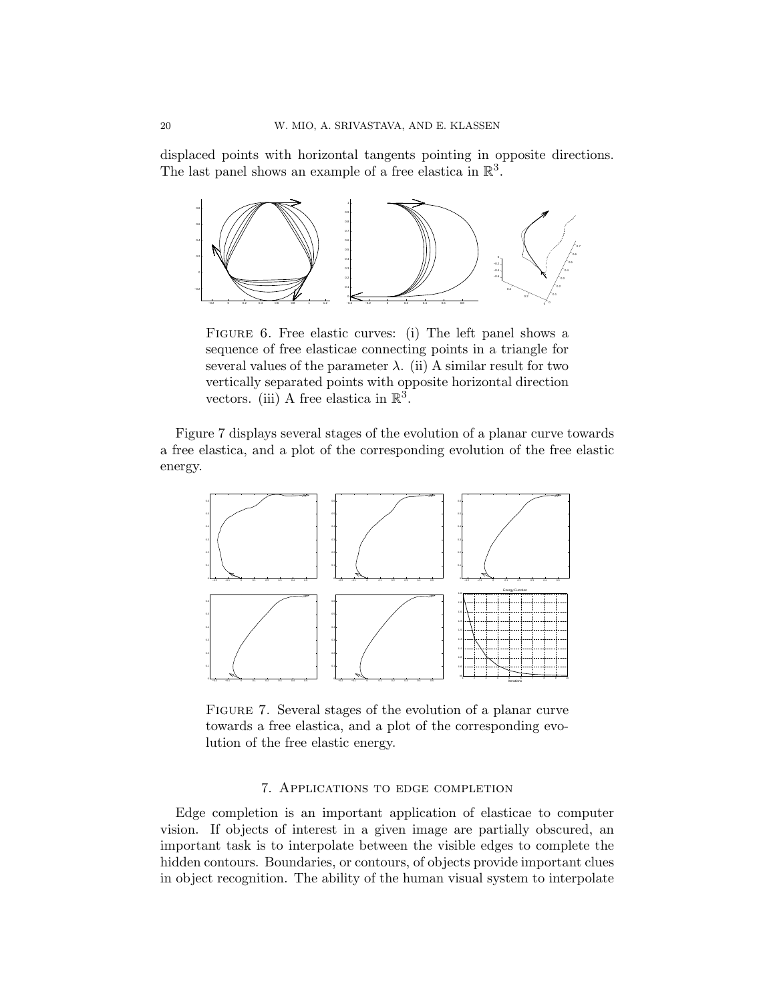displaced points with horizontal tangents pointing in opposite directions. The last panel shows an example of a free elastica in  $\mathbb{R}^3$ .



FIGURE 6. Free elastic curves: (i) The left panel shows a sequence of free elasticae connecting points in a triangle for several values of the parameter  $\lambda$ . (ii) A similar result for two vertically separated points with opposite horizontal direction vectors. (iii) A free elastica in  $\mathbb{R}^3$ .

Figure 7 displays several stages of the evolution of a planar curve towards a free elastica, and a plot of the corresponding evolution of the free elastic energy.



Figure 7. Several stages of the evolution of a planar curve towards a free elastica, and a plot of the corresponding evolution of the free elastic energy.

### 7. Applications to edge completion

Edge completion is an important application of elasticae to computer vision. If objects of interest in a given image are partially obscured, an important task is to interpolate between the visible edges to complete the hidden contours. Boundaries, or contours, of objects provide important clues in object recognition. The ability of the human visual system to interpolate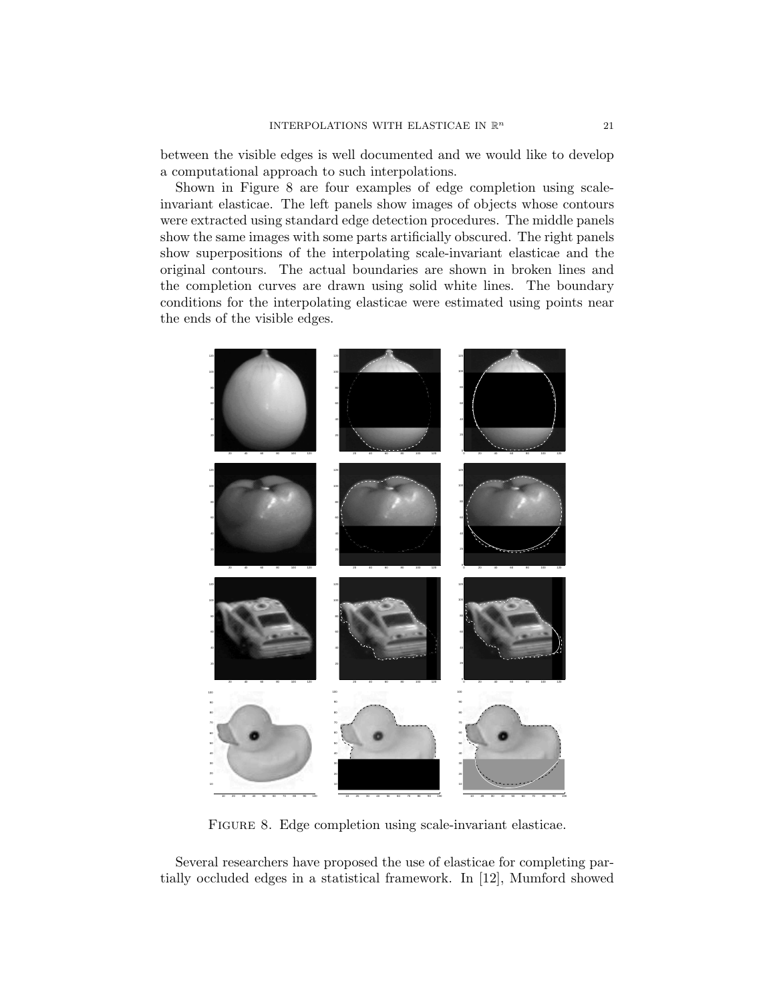between the visible edges is well documented and we would like to develop a computational approach to such interpolations.

Shown in Figure 8 are four examples of edge completion using scaleinvariant elasticae. The left panels show images of objects whose contours were extracted using standard edge detection procedures. The middle panels show the same images with some parts artificially obscured. The right panels show superpositions of the interpolating scale-invariant elasticae and the original contours. The actual boundaries are shown in broken lines and the completion curves are drawn using solid white lines. The boundary conditions for the interpolating elasticae were estimated using points near the ends of the visible edges.



FIGURE 8. Edge completion using scale-invariant elasticae.

Several researchers have proposed the use of elasticae for completing partially occluded edges in a statistical framework. In [12], Mumford showed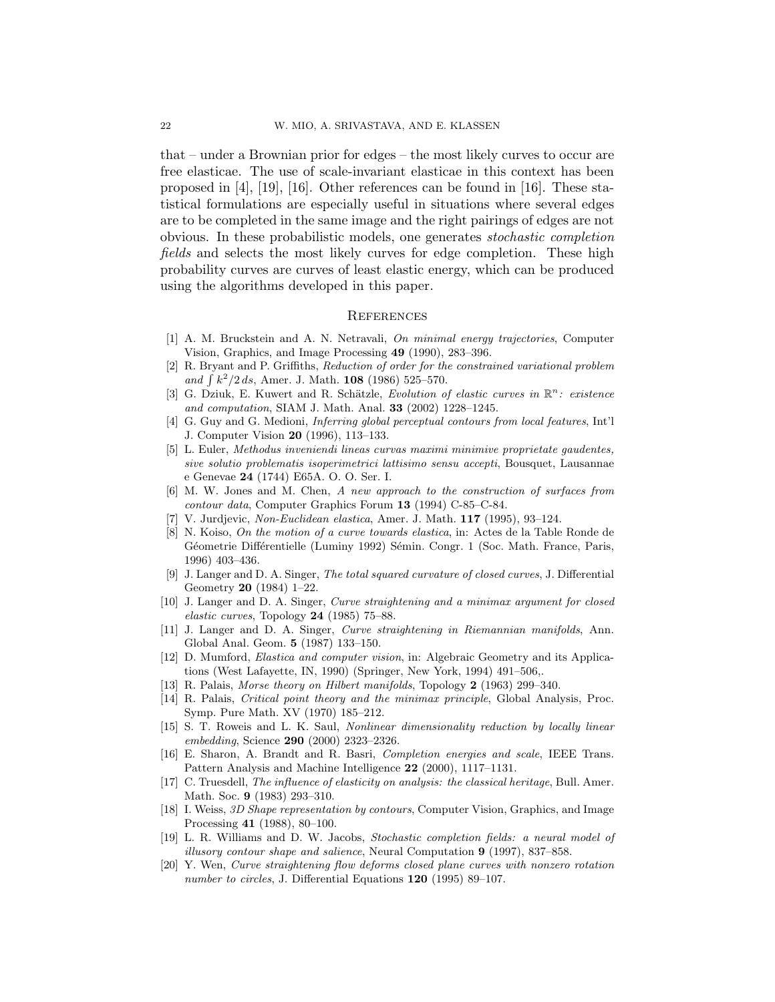that – under a Brownian prior for edges – the most likely curves to occur are free elasticae. The use of scale-invariant elasticae in this context has been proposed in [4], [19], [16]. Other references can be found in [16]. These statistical formulations are especially useful in situations where several edges are to be completed in the same image and the right pairings of edges are not obvious. In these probabilistic models, one generates stochastic completion fields and selects the most likely curves for edge completion. These high probability curves are curves of least elastic energy, which can be produced using the algorithms developed in this paper.

#### **REFERENCES**

- [1] A. M. Bruckstein and A. N. Netravali, On minimal energy trajectories, Computer Vision, Graphics, and Image Processing 49 (1990), 283–396.
- [2] R. Bryant and P. Griffiths, Reduction of order for the constrained variational problem and  $\int k^2/2 ds$ , Amer. J. Math. 108 (1986) 525–570.
- [3] G. Dziuk, E. Kuwert and R. Schätzle, Evolution of elastic curves in  $\mathbb{R}^n$ : existence and computation, SIAM J. Math. Anal. 33 (2002) 1228–1245.
- [4] G. Guy and G. Medioni, Inferring global perceptual contours from local features, Int'l J. Computer Vision 20 (1996), 113–133.
- [5] L. Euler, Methodus inveniendi lineas curvas maximi minimive proprietate gaudentes, sive solutio problematis isoperimetrici lattisimo sensu accepti, Bousquet, Lausannae e Genevae 24 (1744) E65A. O. O. Ser. I.
- [6] M. W. Jones and M. Chen, A new approach to the construction of surfaces from contour data, Computer Graphics Forum 13 (1994) C-85–C-84.
- V. Jurdjevic, Non-Euclidean elastica, Amer. J. Math. 117 (1995), 93-124.
- [8] N. Koiso, On the motion of a curve towards elastica, in: Actes de la Table Ronde de Géometrie Différentielle (Luminy 1992) Sémin. Congr. 1 (Soc. Math. France, Paris, 1996) 403–436.
- [9] J. Langer and D. A. Singer, The total squared curvature of closed curves, J. Differential Geometry 20 (1984) 1–22.
- [10] J. Langer and D. A. Singer, Curve straightening and a minimax argument for closed elastic curves, Topology  $24$  (1985) 75–88.
- [11] J. Langer and D. A. Singer, Curve straightening in Riemannian manifolds, Ann. Global Anal. Geom. 5 (1987) 133–150.
- [12] D. Mumford, Elastica and computer vision, in: Algebraic Geometry and its Applications (West Lafayette, IN, 1990) (Springer, New York, 1994) 491–506,.
- [13] R. Palais, Morse theory on Hilbert manifolds, Topology 2 (1963) 299–340.
- [14] R. Palais, Critical point theory and the minimax principle, Global Analysis, Proc. Symp. Pure Math. XV (1970) 185–212.
- [15] S. T. Roweis and L. K. Saul, Nonlinear dimensionality reduction by locally linear embedding, Science 290 (2000) 2323–2326.
- [16] E. Sharon, A. Brandt and R. Basri, Completion energies and scale, IEEE Trans. Pattern Analysis and Machine Intelligence 22 (2000), 1117–1131.
- [17] C. Truesdell, The influence of elasticity on analysis: the classical heritage, Bull. Amer. Math. Soc. 9 (1983) 293–310.
- [18] I. Weiss, 3D Shape representation by contours, Computer Vision, Graphics, and Image Processing 41 (1988), 80–100.
- [19] L. R. Williams and D. W. Jacobs, Stochastic completion fields: a neural model of illusory contour shape and salience, Neural Computation 9 (1997), 837–858.
- [20] Y. Wen, Curve straightening flow deforms closed plane curves with nonzero rotation number to circles, J. Differential Equations 120 (1995) 89–107.